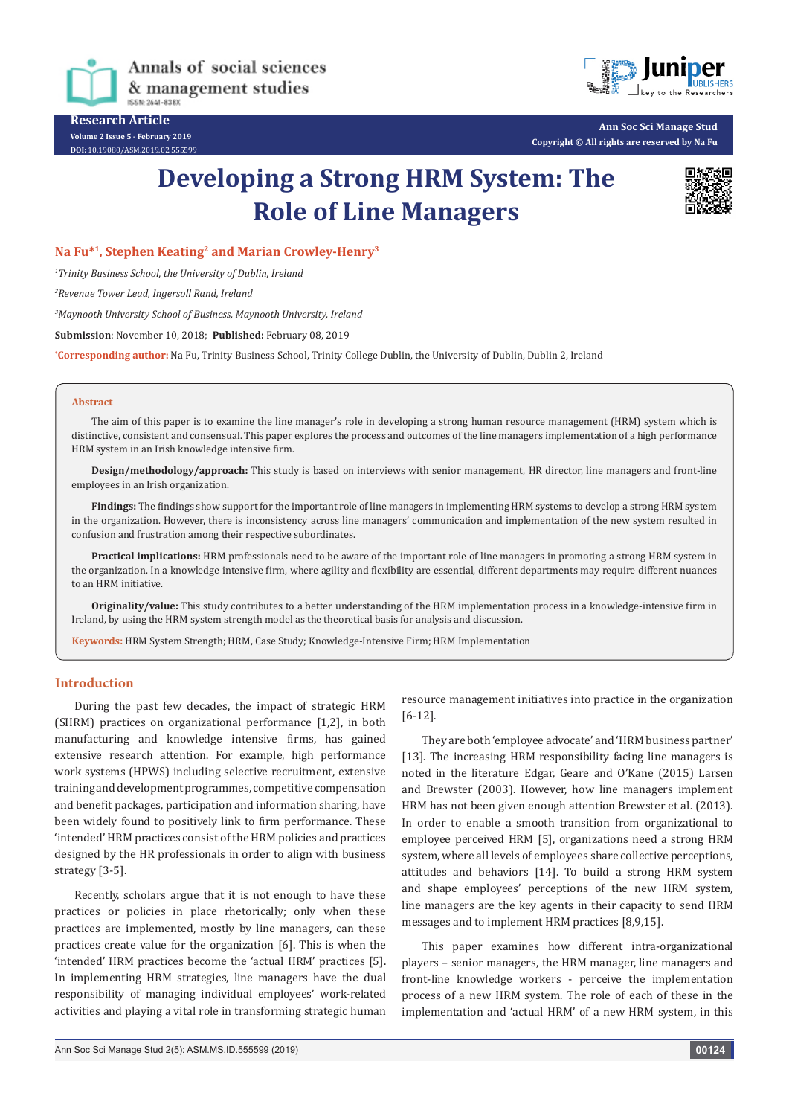

Annals of social sciences & management studies ISSN-2641-8383

**Research Article Volume 2 Issue 5 - February 2019 DOI:** [10.19080/ASM.2019.02.555599](http://dx.doi.org/10.19080/ASM.2019.02.555599
)



**Ann Soc Sci Manage Stud Copyright © All rights are reserved by Na Fu**

# **Developing a Strong HRM System: The Role of Line Managers**



# **Na Fu\*1, Stephen Keating2 and Marian Crowley-Henry3**

*1 Trinity Business School, the University of Dublin, Ireland*

*2 Revenue Tower Lead, Ingersoll Rand, Ireland*

*3 Maynooth University School of Business, Maynooth University, Ireland*

**Submission**: November 10, 2018; **Published:** February 08, 2019

**\* Corresponding author:** Na Fu, Trinity Business School, Trinity College Dublin, the University of Dublin, Dublin 2, Ireland

#### **Abstract**

The aim of this paper is to examine the line manager's role in developing a strong human resource management (HRM) system which is distinctive, consistent and consensual. This paper explores the process and outcomes of the line managers implementation of a high performance HRM system in an Irish knowledge intensive firm.

**Design/methodology/approach:** This study is based on interviews with senior management, HR director, line managers and front-line employees in an Irish organization.

**Findings:** The findings show support for the important role of line managers in implementing HRM systems to develop a strong HRM system in the organization. However, there is inconsistency across line managers' communication and implementation of the new system resulted in confusion and frustration among their respective subordinates.

**Practical implications:** HRM professionals need to be aware of the important role of line managers in promoting a strong HRM system in the organization. In a knowledge intensive firm, where agility and flexibility are essential, different departments may require different nuances to an HRM initiative.

**Originality/value:** This study contributes to a better understanding of the HRM implementation process in a knowledge-intensive firm in Ireland, by using the HRM system strength model as the theoretical basis for analysis and discussion.

**Keywords:** HRM System Strength; HRM, Case Study; Knowledge-Intensive Firm; HRM Implementation

#### **Introduction**

During the past few decades, the impact of strategic HRM (SHRM) practices on organizational performance [1,2], in both manufacturing and knowledge intensive firms, has gained extensive research attention. For example, high performance work systems (HPWS) including selective recruitment, extensive training and development programmes, competitive compensation and benefit packages, participation and information sharing, have been widely found to positively link to firm performance. These 'intended' HRM practices consist of the HRM policies and practices designed by the HR professionals in order to align with business strategy [3-5].

Recently, scholars argue that it is not enough to have these practices or policies in place rhetorically; only when these practices are implemented, mostly by line managers, can these practices create value for the organization [6]. This is when the 'intended' HRM practices become the 'actual HRM' practices [5]. In implementing HRM strategies, line managers have the dual responsibility of managing individual employees' work-related activities and playing a vital role in transforming strategic human

resource management initiatives into practice in the organization [6-12].

They are both 'employee advocate' and 'HRM business partner' [13]. The increasing HRM responsibility facing line managers is noted in the literature Edgar, Geare and O'Kane (2015) Larsen and Brewster (2003). However, how line managers implement HRM has not been given enough attention Brewster et al. (2013). In order to enable a smooth transition from organizational to employee perceived HRM [5], organizations need a strong HRM system, where all levels of employees share collective perceptions, attitudes and behaviors [14]. To build a strong HRM system and shape employees' perceptions of the new HRM system, line managers are the key agents in their capacity to send HRM messages and to implement HRM practices [8,9,15].

This paper examines how different intra-organizational players – senior managers, the HRM manager, line managers and front-line knowledge workers - perceive the implementation process of a new HRM system. The role of each of these in the implementation and 'actual HRM' of a new HRM system, in this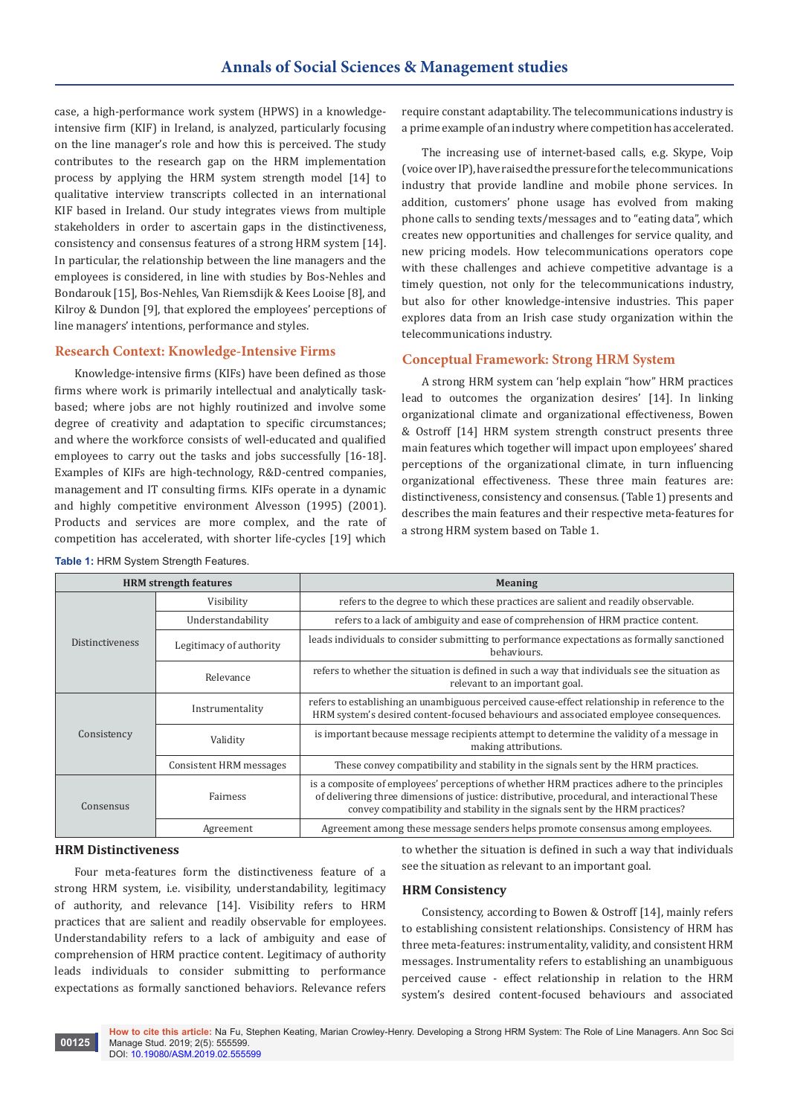case, a high-performance work system (HPWS) in a knowledgeintensive firm (KIF) in Ireland, is analyzed, particularly focusing on the line manager's role and how this is perceived. The study contributes to the research gap on the HRM implementation process by applying the HRM system strength model [14] to qualitative interview transcripts collected in an international KIF based in Ireland. Our study integrates views from multiple stakeholders in order to ascertain gaps in the distinctiveness, consistency and consensus features of a strong HRM system [14]. In particular, the relationship between the line managers and the employees is considered, in line with studies by Bos-Nehles and Bondarouk [15], Bos-Nehles, Van Riemsdijk & Kees Looise [8], and Kilroy & Dundon [9], that explored the employees' perceptions of line managers' intentions, performance and styles.

# **Research Context: Knowledge-Intensive Firms**

Knowledge-intensive firms (KIFs) have been defined as those firms where work is primarily intellectual and analytically taskbased; where jobs are not highly routinized and involve some degree of creativity and adaptation to specific circumstances; and where the workforce consists of well-educated and qualified employees to carry out the tasks and jobs successfully [16-18]. Examples of KIFs are high-technology, R&D-centred companies, management and IT consulting firms. KIFs operate in a dynamic and highly competitive environment Alvesson (1995) (2001). Products and services are more complex, and the rate of competition has accelerated, with shorter life-cycles [19] which

require constant adaptability. The telecommunications industry is a prime example of an industry where competition has accelerated.

The increasing use of internet-based calls, e.g. Skype, Voip (voice over IP), have raised the pressure for the telecommunications industry that provide landline and mobile phone services. In addition, customers' phone usage has evolved from making phone calls to sending texts/messages and to "eating data", which creates new opportunities and challenges for service quality, and new pricing models. How telecommunications operators cope with these challenges and achieve competitive advantage is a timely question, not only for the telecommunications industry, but also for other knowledge-intensive industries. This paper explores data from an Irish case study organization within the telecommunications industry.

# **Conceptual Framework: Strong HRM System**

A strong HRM system can 'help explain "how" HRM practices lead to outcomes the organization desires' [14]. In linking organizational climate and organizational effectiveness, Bowen & Ostroff [14] HRM system strength construct presents three main features which together will impact upon employees' shared perceptions of the organizational climate, in turn influencing organizational effectiveness. These three main features are: distinctiveness, consistency and consensus. (Table 1) presents and describes the main features and their respective meta-features for a strong HRM system based on Table 1.

| <b>HRM</b> strength features |                         | <b>Meaning</b>                                                                                                                                                                                                                                                             |  |
|------------------------------|-------------------------|----------------------------------------------------------------------------------------------------------------------------------------------------------------------------------------------------------------------------------------------------------------------------|--|
|                              | Visibility              | refers to the degree to which these practices are salient and readily observable.                                                                                                                                                                                          |  |
| <b>Distinctiveness</b>       | Understandability       | refers to a lack of ambiguity and ease of comprehension of HRM practice content.                                                                                                                                                                                           |  |
|                              | Legitimacy of authority | leads individuals to consider submitting to performance expectations as formally sanctioned<br>behaviours.                                                                                                                                                                 |  |
|                              | Relevance               | refers to whether the situation is defined in such a way that individuals see the situation as<br>relevant to an important goal.                                                                                                                                           |  |
|                              | Instrumentality         | refers to establishing an unambiguous perceived cause-effect relationship in reference to the<br>HRM system's desired content-focused behaviours and associated employee consequences.                                                                                     |  |
| Consistency                  | Validity                | is important because message recipients attempt to determine the validity of a message in<br>making attributions.                                                                                                                                                          |  |
|                              | Consistent HRM messages | These convey compatibility and stability in the signals sent by the HRM practices.                                                                                                                                                                                         |  |
| Consensus                    | Fairness                | is a composite of employees' perceptions of whether HRM practices adhere to the principles<br>of delivering three dimensions of justice: distributive, procedural, and interactional These<br>convey compatibility and stability in the signals sent by the HRM practices? |  |
|                              | Agreement               | Agreement among these message senders helps promote consensus among employees.                                                                                                                                                                                             |  |

**Table 1: HRM System Strength Features.** 

#### **HRM Distinctiveness**

Four meta-features form the distinctiveness feature of a strong HRM system, i.e. visibility, understandability, legitimacy of authority, and relevance [14]. Visibility refers to HRM practices that are salient and readily observable for employees. Understandability refers to a lack of ambiguity and ease of comprehension of HRM practice content. Legitimacy of authority leads individuals to consider submitting to performance expectations as formally sanctioned behaviors. Relevance refers

to whether the situation is defined in such a way that individuals see the situation as relevant to an important goal.

#### **HRM Consistency**

Consistency, according to Bowen & Ostroff [14], mainly refers to establishing consistent relationships. Consistency of HRM has three meta-features: instrumentality, validity, and consistent HRM messages. Instrumentality refers to establishing an unambiguous perceived cause - effect relationship in relation to the HRM system's desired content-focused behaviours and associated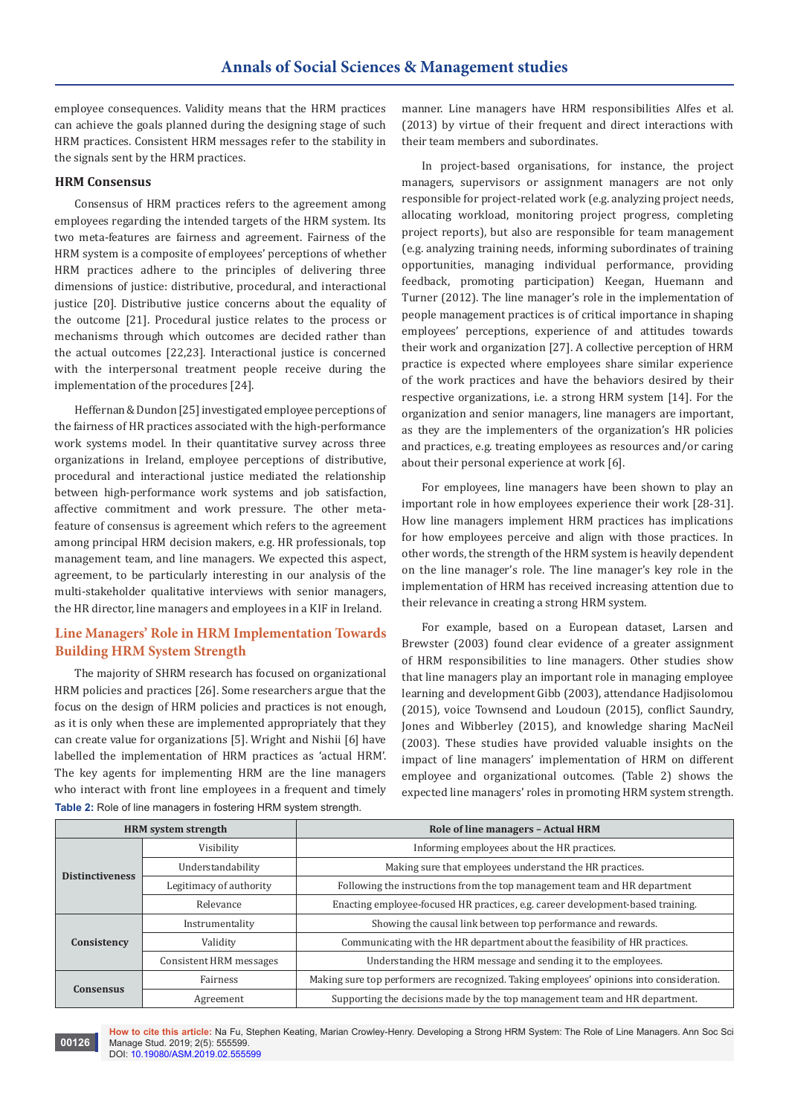employee consequences. Validity means that the HRM practices can achieve the goals planned during the designing stage of such HRM practices. Consistent HRM messages refer to the stability in the signals sent by the HRM practices.

#### **HRM Consensus**

Consensus of HRM practices refers to the agreement among employees regarding the intended targets of the HRM system. Its two meta-features are fairness and agreement. Fairness of the HRM system is a composite of employees' perceptions of whether HRM practices adhere to the principles of delivering three dimensions of justice: distributive, procedural, and interactional justice [20]. Distributive justice concerns about the equality of the outcome [21]. Procedural justice relates to the process or mechanisms through which outcomes are decided rather than the actual outcomes [22,23]. Interactional justice is concerned with the interpersonal treatment people receive during the implementation of the procedures [24].

Heffernan & Dundon [25] investigated employee perceptions of the fairness of HR practices associated with the high-performance work systems model. In their quantitative survey across three organizations in Ireland, employee perceptions of distributive, procedural and interactional justice mediated the relationship between high-performance work systems and job satisfaction, affective commitment and work pressure. The other metafeature of consensus is agreement which refers to the agreement among principal HRM decision makers, e.g. HR professionals, top management team, and line managers. We expected this aspect, agreement, to be particularly interesting in our analysis of the multi-stakeholder qualitative interviews with senior managers, the HR director, line managers and employees in a KIF in Ireland.

# **Line Managers' Role in HRM Implementation Towards Building HRM System Strength**

The majority of SHRM research has focused on organizational HRM policies and practices [26]. Some researchers argue that the focus on the design of HRM policies and practices is not enough, as it is only when these are implemented appropriately that they can create value for organizations [5]. Wright and Nishii [6] have labelled the implementation of HRM practices as 'actual HRM'. The key agents for implementing HRM are the line managers who interact with front line employees in a frequent and timely **Table 2:** Role of line managers in fostering HRM system strength.

manner. Line managers have HRM responsibilities Alfes et al. (2013) by virtue of their frequent and direct interactions with their team members and subordinates.

In project-based organisations, for instance, the project managers, supervisors or assignment managers are not only responsible for project-related work (e.g. analyzing project needs, allocating workload, monitoring project progress, completing project reports), but also are responsible for team management (e.g. analyzing training needs, informing subordinates of training opportunities, managing individual performance, providing feedback, promoting participation) Keegan, Huemann and Turner (2012). The line manager's role in the implementation of people management practices is of critical importance in shaping employees' perceptions, experience of and attitudes towards their work and organization [27]. A collective perception of HRM practice is expected where employees share similar experience of the work practices and have the behaviors desired by their respective organizations, i.e. a strong HRM system [14]. For the organization and senior managers, line managers are important, as they are the implementers of the organization's HR policies and practices, e.g. treating employees as resources and/or caring about their personal experience at work [6].

For employees, line managers have been shown to play an important role in how employees experience their work [28-31]. How line managers implement HRM practices has implications for how employees perceive and align with those practices. In other words, the strength of the HRM system is heavily dependent on the line manager's role. The line manager's key role in the implementation of HRM has received increasing attention due to their relevance in creating a strong HRM system.

For example, based on a European dataset, Larsen and Brewster (2003) found clear evidence of a greater assignment of HRM responsibilities to line managers. Other studies show that line managers play an important role in managing employee learning and development Gibb (2003), attendance Hadjisolomou (2015), voice Townsend and Loudoun (2015), conflict Saundry, Jones and Wibberley (2015), and knowledge sharing MacNeil (2003). These studies have provided valuable insights on the impact of line managers' implementation of HRM on different employee and organizational outcomes. (Table 2) shows the expected line managers' roles in promoting HRM system strength.

| <b>HRM</b> system strength |                                | Role of line managers - Actual HRM                                                        |  |
|----------------------------|--------------------------------|-------------------------------------------------------------------------------------------|--|
|                            | Visibility                     | Informing employees about the HR practices.                                               |  |
| <b>Distinctiveness</b>     | Understandability              | Making sure that employees understand the HR practices.                                   |  |
|                            | Legitimacy of authority        | Following the instructions from the top management team and HR department                 |  |
|                            | Relevance                      | Enacting employee-focused HR practices, e.g. career development-based training.           |  |
|                            | Instrumentality                | Showing the causal link between top performance and rewards.                              |  |
| Consistency                | Validity                       | Communicating with the HR department about the feasibility of HR practices.               |  |
|                            | <b>Consistent HRM</b> messages | Understanding the HRM message and sending it to the employees.                            |  |
| <b>Consensus</b>           | Fairness                       | Making sure top performers are recognized. Taking employees' opinions into consideration. |  |
|                            | Agreement                      | Supporting the decisions made by the top management team and HR department.               |  |

**How to cite this article:** Na Fu, Stephen Keating, Marian Crowley-Henry. Developing a Strong HRM System: The Role of Line Managers. Ann Soc Sci Manage Stud. 2019; 2(5): 555599.

**00126**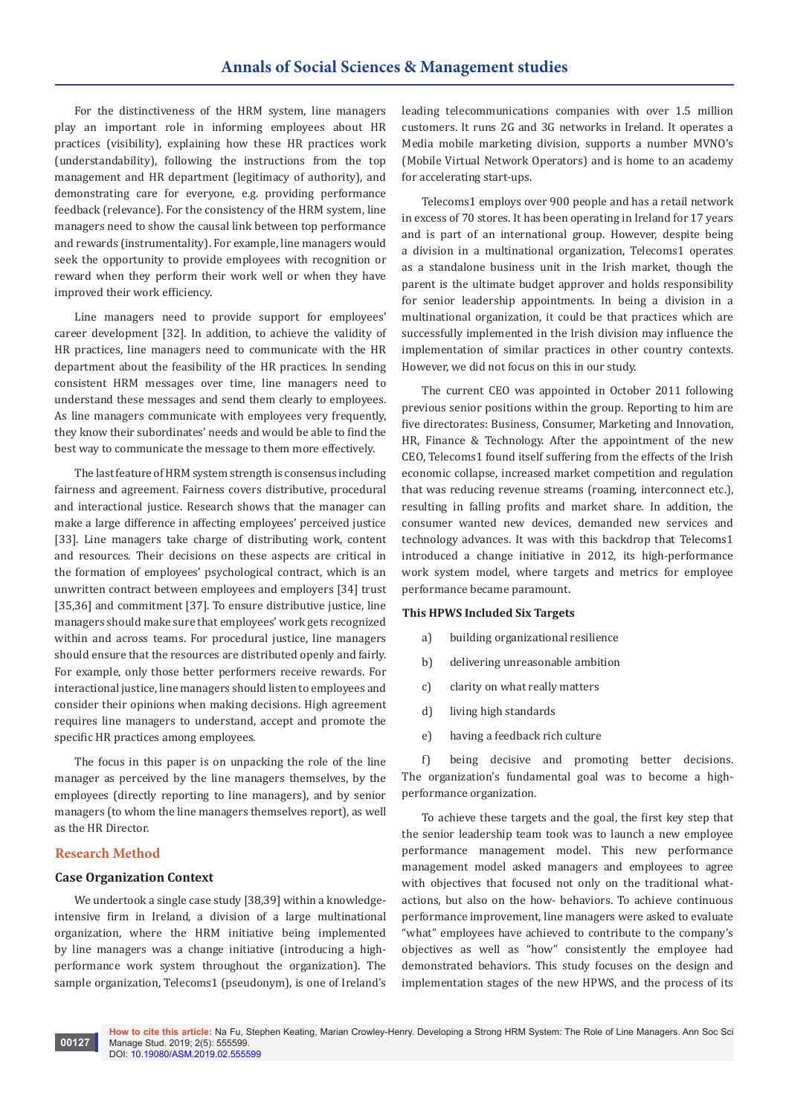For the distinctiveness of the HRM system, line managers play an important role in informing employees about HR practices (visibility), explaining how these HR practices work (understandability), following the instructions from the top management and HR department (legitimacy of authority), and demonstrating care for everyone, e.g. providing performance feedback (relevance). For the consistency of the HRM system, line managers need to show the causal link between top performance and rewards (instrumentality). For example, line managers would seek the opportunity to provide employees with recognition or reward when they perform their work well or when they have improved their work efficiency.

Line managers need to provide support for employees' career development [32]. In addition, to achieve the validity of HR practices, line managers need to communicate with the HR department about the feasibility of the HR practices. In sending consistent HRM messages over time, line managers need to understand these messages and send them clearly to employees. As line managers communicate with employees very frequently, they know their subordinates' needs and would be able to find the best way to communicate the message to them more effectively.

The last feature of HRM system strength is consensus including fairness and agreement. Fairness covers distributive, procedural and interactional justice. Research shows that the manager can make a large difference in affecting employees' perceived justice [33]. Line managers take charge of distributing work, content and resources. Their decisions on these aspects are critical in the formation of employees' psychological contract, which is an unwritten contract between employees and employers [34] trust [35,36] and commitment [37]. To ensure distributive justice, line managers should make sure that employees' work gets recognized within and across teams. For procedural justice, line managers should ensure that the resources are distributed openly and fairly. For example, only those better performers receive rewards. For interactional justice, line managers should listen to employees and consider their opinions when making decisions. High agreement requires line managers to understand, accept and promote the specific HR practices among employees.

The focus in this paper is on unpacking the role of the line manager as perceived by the line managers themselves, by the employees (directly reporting to line managers), and by senior managers (to whom the line managers themselves report), as well as the HR Director.

#### **Research Method**

#### **Case Organization Context**

We undertook a single case study [38,39] within a knowledgeintensive firm in Ireland, a division of a large multinational organization, where the HRM initiative being implemented by line managers was a change initiative (introducing a highperformance work system throughout the organization). The sample organization, Telecoms1 (pseudonym), is one of Ireland's

leading telecommunications companies with over 1.5 million customers. It runs 2G and 3G networks in Ireland. It operates a Media mobile marketing division, supports a number MVNO's (Mobile Virtual Network Operators) and is home to an academy for accelerating start-ups.

Telecoms1 employs over 900 people and has a retail network in excess of 70 stores. It has been operating in Ireland for 17 years and is part of an international group. However, despite being a division in a multinational organization, Telecoms1 operates as a standalone business unit in the Irish market, though the parent is the ultimate budget approver and holds responsibility for senior leadership appointments. In being a division in a multinational organization, it could be that practices which are successfully implemented in the Irish division may influence the implementation of similar practices in other country contexts. However, we did not focus on this in our study.

The current CEO was appointed in October 2011 following previous senior positions within the group. Reporting to him are five directorates: Business, Consumer, Marketing and Innovation, HR, Finance & Technology. After the appointment of the new CEO, Telecoms1 found itself suffering from the effects of the Irish economic collapse, increased market competition and regulation that was reducing revenue streams (roaming, interconnect etc.), resulting in falling profits and market share. In addition, the consumer wanted new devices, demanded new services and technology advances. It was with this backdrop that Telecoms1 introduced a change initiative in 2012, its high-performance work system model, where targets and metrics for employee performance became paramount.

#### **This HPWS Included Six Targets**

- a) building organizational resilience
- b) delivering unreasonable ambition
- c) clarity on what really matters
- d) living high standards
- e) having a feedback rich culture

f) being decisive and promoting better decisions. The organization's fundamental goal was to become a highperformance organization.

To achieve these targets and the goal, the first key step that the senior leadership team took was to launch a new employee performance management model. This new performance management model asked managers and employees to agree with objectives that focused not only on the traditional whatactions, but also on the how- behaviors. To achieve continuous performance improvement, line managers were asked to evaluate "what" employees have achieved to contribute to the company's objectives as well as "how" consistently the employee had demonstrated behaviors. This study focuses on the design and implementation stages of the new HPWS, and the process of its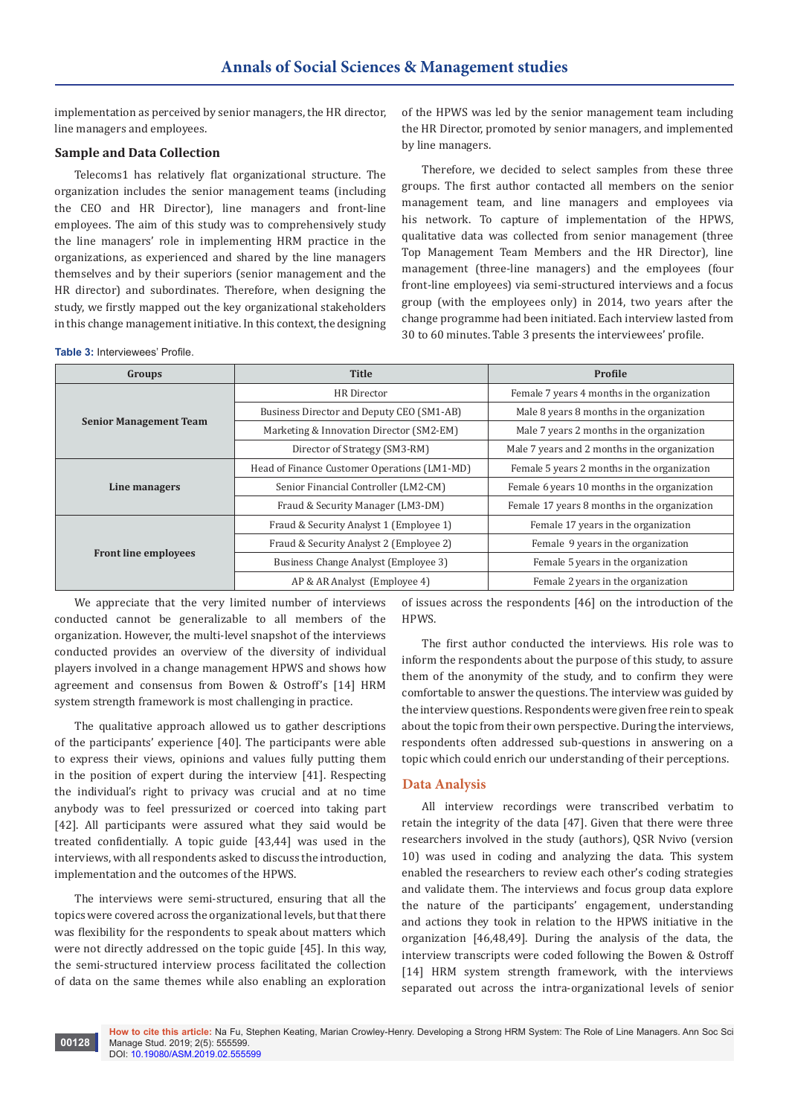implementation as perceived by senior managers, the HR director, line managers and employees.

#### **Sample and Data Collection**

Telecoms1 has relatively flat organizational structure. The organization includes the senior management teams (including the CEO and HR Director), line managers and front-line employees. The aim of this study was to comprehensively study the line managers' role in implementing HRM practice in the organizations, as experienced and shared by the line managers themselves and by their superiors (senior management and the HR director) and subordinates. Therefore, when designing the study, we firstly mapped out the key organizational stakeholders in this change management initiative. In this context, the designing

**Table 3:** Interviewees' Profile.

of the HPWS was led by the senior management team including the HR Director, promoted by senior managers, and implemented by line managers.

Therefore, we decided to select samples from these three groups. The first author contacted all members on the senior management team, and line managers and employees via his network. To capture of implementation of the HPWS, qualitative data was collected from senior management (three Top Management Team Members and the HR Director), line management (three-line managers) and the employees (four front-line employees) via semi-structured interviews and a focus group (with the employees only) in 2014, two years after the change programme had been initiated. Each interview lasted from 30 to 60 minutes. Table 3 presents the interviewees' profile.

| Groups                        | <b>Title</b>                                 | Profile                                       |  |
|-------------------------------|----------------------------------------------|-----------------------------------------------|--|
|                               | <b>HR</b> Director                           | Female 7 years 4 months in the organization   |  |
|                               | Business Director and Deputy CEO (SM1-AB)    | Male 8 years 8 months in the organization     |  |
| <b>Senior Management Team</b> | Marketing & Innovation Director (SM2-EM)     | Male 7 years 2 months in the organization     |  |
|                               | Director of Strategy (SM3-RM)                | Male 7 years and 2 months in the organization |  |
|                               | Head of Finance Customer Operations (LM1-MD) | Female 5 years 2 months in the organization   |  |
| Line managers                 | Senior Financial Controller (LM2-CM)         | Female 6 years 10 months in the organization  |  |
|                               | Fraud & Security Manager (LM3-DM)            | Female 17 years 8 months in the organization  |  |
|                               | Fraud & Security Analyst 1 (Employee 1)      | Female 17 years in the organization           |  |
|                               | Fraud & Security Analyst 2 (Employee 2)      | Female 9 years in the organization            |  |
| <b>Front line employees</b>   | Business Change Analyst (Employee 3)         | Female 5 years in the organization            |  |
|                               | AP & AR Analyst (Employee 4)                 | Female 2 years in the organization            |  |

We appreciate that the very limited number of interviews conducted cannot be generalizable to all members of the organization. However, the multi-level snapshot of the interviews conducted provides an overview of the diversity of individual players involved in a change management HPWS and shows how agreement and consensus from Bowen & Ostroff's [14] HRM system strength framework is most challenging in practice.

The qualitative approach allowed us to gather descriptions of the participants' experience [40]. The participants were able to express their views, opinions and values fully putting them in the position of expert during the interview [41]. Respecting the individual's right to privacy was crucial and at no time anybody was to feel pressurized or coerced into taking part [42]. All participants were assured what they said would be treated confidentially. A topic guide [43,44] was used in the interviews, with all respondents asked to discuss the introduction, implementation and the outcomes of the HPWS.

The interviews were semi-structured, ensuring that all the topics were covered across the organizational levels, but that there was flexibility for the respondents to speak about matters which were not directly addressed on the topic guide [45]. In this way, the semi-structured interview process facilitated the collection of data on the same themes while also enabling an exploration

of issues across the respondents [46] on the introduction of the HPWS.

The first author conducted the interviews. His role was to inform the respondents about the purpose of this study, to assure them of the anonymity of the study, and to confirm they were comfortable to answer the questions. The interview was guided by the interview questions. Respondents were given free rein to speak about the topic from their own perspective. During the interviews, respondents often addressed sub-questions in answering on a topic which could enrich our understanding of their perceptions.

# **Data Analysis**

All interview recordings were transcribed verbatim to retain the integrity of the data [47]. Given that there were three researchers involved in the study (authors), QSR Nvivo (version 10) was used in coding and analyzing the data. This system enabled the researchers to review each other's coding strategies and validate them. The interviews and focus group data explore the nature of the participants' engagement, understanding and actions they took in relation to the HPWS initiative in the organization [46,48,49]. During the analysis of the data, the interview transcripts were coded following the Bowen & Ostroff [14] HRM system strength framework, with the interviews separated out across the intra-organizational levels of senior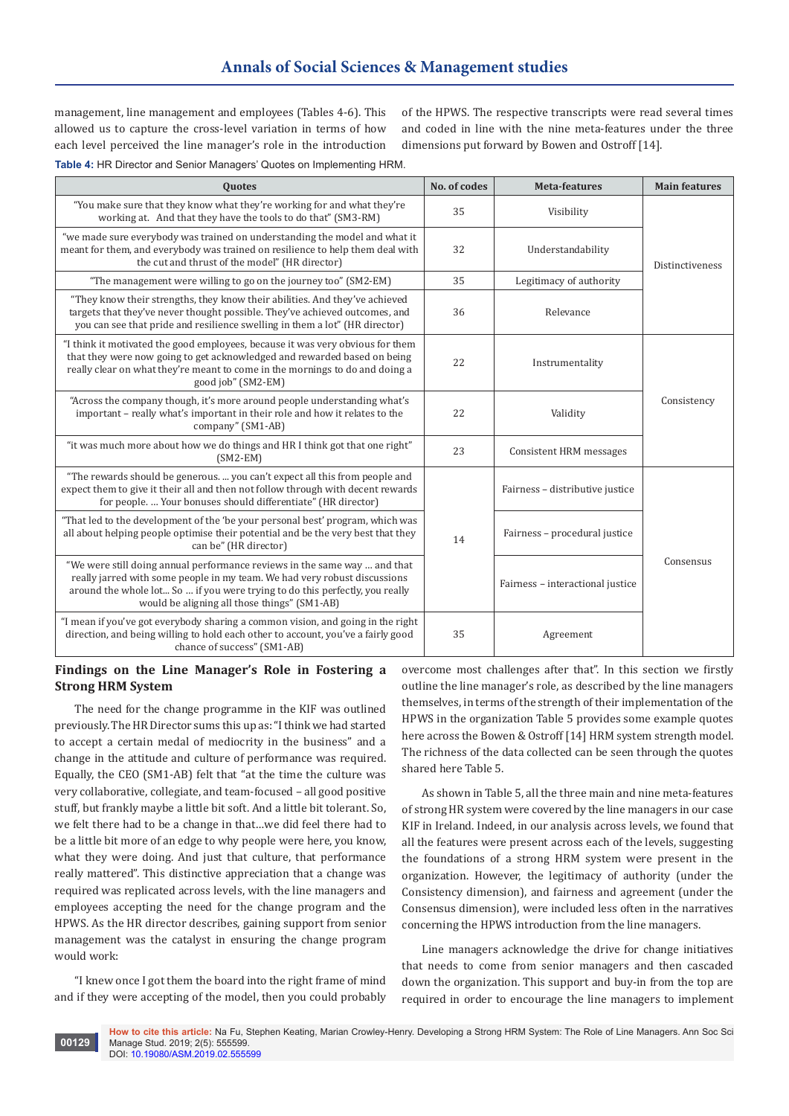management, line management and employees (Tables 4-6). This allowed us to capture the cross-level variation in terms of how each level perceived the line manager's role in the introduction of the HPWS. The respective transcripts were read several times and coded in line with the nine meta-features under the three dimensions put forward by Bowen and Ostroff [14].

**Table 4:** HR Director and Senior Managers' Quotes on Implementing HRM.

| <b>Quotes</b>                                                                                                                                                                                                                                                                          | No. of codes | <b>Meta-features</b>             | <b>Main features</b> |  |
|----------------------------------------------------------------------------------------------------------------------------------------------------------------------------------------------------------------------------------------------------------------------------------------|--------------|----------------------------------|----------------------|--|
| "You make sure that they know what they're working for and what they're<br>working at. And that they have the tools to do that" (SM3-RM)                                                                                                                                               | 35           | Visibility                       |                      |  |
| "we made sure everybody was trained on understanding the model and what it<br>meant for them, and everybody was trained on resilience to help them deal with<br>the cut and thrust of the model" (HR director)                                                                         | 32           | Understandability                | Distinctiveness      |  |
| "The management were willing to go on the journey too" (SM2-EM)                                                                                                                                                                                                                        |              | Legitimacy of authority          |                      |  |
| "They know their strengths, they know their abilities. And they've achieved<br>targets that they've never thought possible. They've achieved outcomes, and<br>you can see that pride and resilience swelling in them a lot" (HR director)                                              | 36           | Relevance                        |                      |  |
| "I think it motivated the good employees, because it was very obvious for them<br>that they were now going to get acknowledged and rewarded based on being<br>really clear on what they're meant to come in the mornings to do and doing a<br>good job" (SM2-EM)                       | 22           | Instrumentality                  |                      |  |
| "Across the company though, it's more around people understanding what's<br>important - really what's important in their role and how it relates to the<br>company" (SM1-AB)                                                                                                           | 22           | Validity                         | Consistency          |  |
| "it was much more about how we do things and HR I think got that one right"<br>$(SM2-EM)$                                                                                                                                                                                              |              | Consistent HRM messages          |                      |  |
| "The rewards should be generous.  you can't expect all this from people and<br>expect them to give it their all and then not follow through with decent rewards<br>for people.  Your bonuses should differentiate" (HR director)                                                       |              | Fairness - distributive justice  |                      |  |
| "That led to the development of the 'be your personal best' program, which was<br>all about helping people optimise their potential and be the very best that they<br>can be" (HR director)                                                                                            | 14           | Fairness - procedural justice    |                      |  |
| "We were still doing annual performance reviews in the same way  and that<br>really jarred with some people in my team. We had very robust discussions<br>around the whole lot So  if you were trying to do this perfectly, you really<br>would be aligning all those things" (SM1-AB) |              | Fairness - interactional justice | Consensus            |  |
| "I mean if you've got everybody sharing a common vision, and going in the right<br>direction, and being willing to hold each other to account, you've a fairly good<br>chance of success" (SM1-AB)                                                                                     | 35           | Agreement                        |                      |  |

# **Findings on the Line Manager's Role in Fostering a Strong HRM System**

The need for the change programme in the KIF was outlined previously. The HR Director sums this up as: "I think we had started to accept a certain medal of mediocrity in the business" and a change in the attitude and culture of performance was required. Equally, the CEO (SM1-AB) felt that "at the time the culture was very collaborative, collegiate, and team-focused – all good positive stuff, but frankly maybe a little bit soft. And a little bit tolerant. So, we felt there had to be a change in that…we did feel there had to be a little bit more of an edge to why people were here, you know, what they were doing. And just that culture, that performance really mattered". This distinctive appreciation that a change was required was replicated across levels, with the line managers and employees accepting the need for the change program and the HPWS. As the HR director describes, gaining support from senior management was the catalyst in ensuring the change program would work:

"I knew once I got them the board into the right frame of mind and if they were accepting of the model, then you could probably

overcome most challenges after that". In this section we firstly outline the line manager's role, as described by the line managers themselves, in terms of the strength of their implementation of the HPWS in the organization Table 5 provides some example quotes here across the Bowen & Ostroff [14] HRM system strength model. The richness of the data collected can be seen through the quotes shared here Table 5.

As shown in Table 5, all the three main and nine meta-features of strong HR system were covered by the line managers in our case KIF in Ireland. Indeed, in our analysis across levels, we found that all the features were present across each of the levels, suggesting the foundations of a strong HRM system were present in the organization. However, the legitimacy of authority (under the Consistency dimension), and fairness and agreement (under the Consensus dimension), were included less often in the narratives concerning the HPWS introduction from the line managers.

Line managers acknowledge the drive for change initiatives that needs to come from senior managers and then cascaded down the organization. This support and buy-in from the top are required in order to encourage the line managers to implement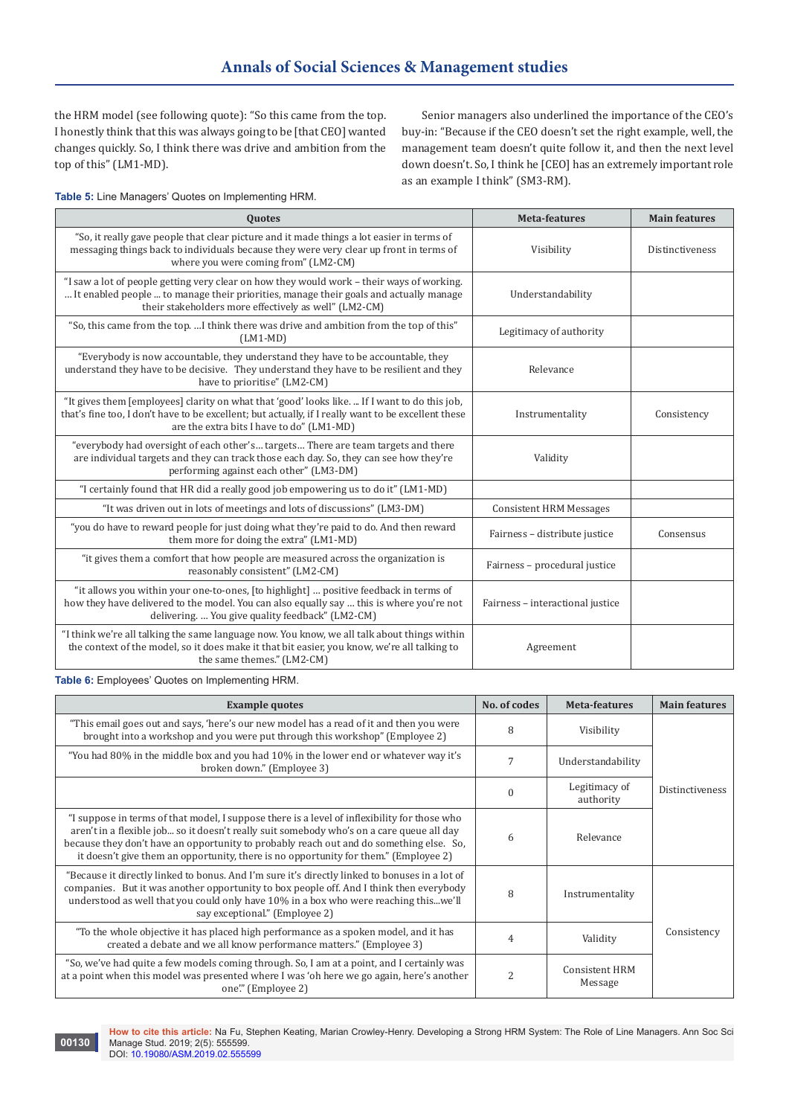the HRM model (see following quote): "So this came from the top. I honestly think that this was always going to be [that CEO] wanted changes quickly. So, I think there was drive and ambition from the top of this" (LM1-MD).

Senior managers also underlined the importance of the CEO's buy-in: "Because if the CEO doesn't set the right example, well, the management team doesn't quite follow it, and then the next level down doesn't. So, I think he [CEO] has an extremely important role as an example I think" (SM3-RM).

**Table 5:** Line Managers' Quotes on Implementing HRM.

| <b>Quotes</b>                                                                                                                                                                                                                                     | <b>Meta-features</b>             | <b>Main features</b> |
|---------------------------------------------------------------------------------------------------------------------------------------------------------------------------------------------------------------------------------------------------|----------------------------------|----------------------|
| "So, it really gave people that clear picture and it made things a lot easier in terms of<br>messaging things back to individuals because they were very clear up front in terms of<br>where you were coming from" (LM2-CM)                       | Visibility                       | Distinctiveness      |
| "I saw a lot of people getting very clear on how they would work – their ways of working.<br>It enabled people  to manage their priorities, manage their goals and actually manage<br>their stakeholders more effectively as well" (LM2-CM)       | Understandability                |                      |
| "So, this came from the top. I think there was drive and ambition from the top of this"<br>$(LM1-MD)$                                                                                                                                             | Legitimacy of authority          |                      |
| "Everybody is now accountable, they understand they have to be accountable, they<br>understand they have to be decisive. They understand they have to be resilient and they<br>have to prioritise" (LM2-CM)                                       | Relevance                        |                      |
| "It gives them [employees] clarity on what that 'good' looks like.  If I want to do this job,<br>that's fine too, I don't have to be excellent; but actually, if I really want to be excellent these<br>are the extra bits I have to do" (LM1-MD) | Instrumentality                  | Consistency          |
| "everybody had oversight of each other's targets There are team targets and there<br>are individual targets and they can track those each day. So, they can see how they're<br>performing against each other" (LM3-DM)                            | Validity                         |                      |
| "I certainly found that HR did a really good job empowering us to do it" (LM1-MD)                                                                                                                                                                 |                                  |                      |
| "It was driven out in lots of meetings and lots of discussions" (LM3-DM)                                                                                                                                                                          | <b>Consistent HRM Messages</b>   |                      |
| "you do have to reward people for just doing what they're paid to do. And then reward<br>them more for doing the extra" (LM1-MD)                                                                                                                  | Fairness - distribute justice    | Consensus            |
| "it gives them a comfort that how people are measured across the organization is<br>reasonably consistent" (LM2-CM)                                                                                                                               | Fairness - procedural justice    |                      |
| "it allows you within your one-to-ones, [to highlight]  positive feedback in terms of<br>how they have delivered to the model. You can also equally say  this is where you're not<br>delivering.  You give quality feedback" (LM2-CM)             | Fairness - interactional justice |                      |
| "I think we're all talking the same language now. You know, we all talk about things within<br>the context of the model, so it does make it that bit easier, you know, we're all talking to<br>the same themes." (LM2-CM)                         | Agreement                        |                      |

**Table 6:** Employees' Quotes on Implementing HRM.

| <b>Example quotes</b>                                                                                                                                                                                                                                                                                                                                                        | No. of codes | Meta-features                    | <b>Main features</b>   |  |
|------------------------------------------------------------------------------------------------------------------------------------------------------------------------------------------------------------------------------------------------------------------------------------------------------------------------------------------------------------------------------|--------------|----------------------------------|------------------------|--|
| "This email goes out and says, 'here's our new model has a read of it and then you were<br>brought into a workshop and you were put through this workshop" (Employee 2)                                                                                                                                                                                                      | 8            | Visibility                       |                        |  |
| "You had 80% in the middle box and you had 10% in the lower end or whatever way it's<br>broken down." (Employee 3)                                                                                                                                                                                                                                                           |              | Understandability                |                        |  |
|                                                                                                                                                                                                                                                                                                                                                                              | $\theta$     | Legitimacy of<br>authority       | <b>Distinctiveness</b> |  |
| "I suppose in terms of that model, I suppose there is a level of inflexibility for those who<br>aren't in a flexible job so it doesn't really suit somebody who's on a care queue all day<br>because they don't have an opportunity to probably reach out and do something else. So,<br>it doesn't give them an opportunity, there is no opportunity for them." (Employee 2) | 6            | Relevance                        |                        |  |
| "Because it directly linked to bonus. And I'm sure it's directly linked to bonuses in a lot of<br>companies. But it was another opportunity to box people off. And I think then everybody<br>understood as well that you could only have 10% in a box who were reaching thiswe'll<br>say exceptional." (Employee 2)                                                          | 8            | Instrumentality                  |                        |  |
| "To the whole objective it has placed high performance as a spoken model, and it has<br>created a debate and we all know performance matters." (Employee 3)                                                                                                                                                                                                                  | 4            | Validity                         | Consistency            |  |
| "So, we've had quite a few models coming through. So, I am at a point, and I certainly was<br>at a point when this model was presented where I was 'oh here we go again, here's another<br>one" (Employee 2)                                                                                                                                                                 | 2            | <b>Consistent HRM</b><br>Message |                        |  |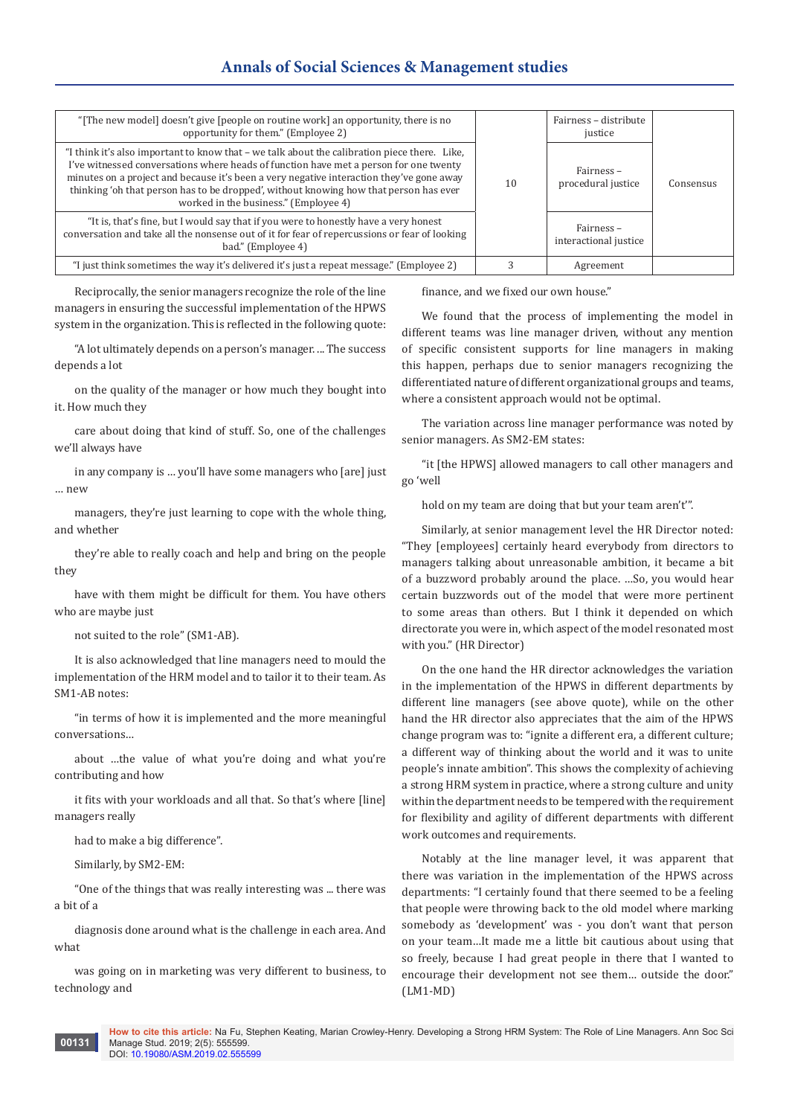# **Annals of Social Sciences & Management studies**

| "[The new model] doesn't give [people on routine work] an opportunity, there is no<br>opportunity for them." (Employee 2)                                                                                                                                                                                                                                                                                           |    | Fairness - distribute<br>justice   |           |
|---------------------------------------------------------------------------------------------------------------------------------------------------------------------------------------------------------------------------------------------------------------------------------------------------------------------------------------------------------------------------------------------------------------------|----|------------------------------------|-----------|
| "I think it's also important to know that – we talk about the calibration piece there. Like,<br>I've witnessed conversations where heads of function have met a person for one twenty<br>minutes on a project and because it's been a very negative interaction they've gone away<br>thinking 'oh that person has to be dropped', without knowing how that person has ever<br>worked in the business." (Employee 4) | 10 | Fairness-<br>procedural justice    | Consensus |
| "It is, that's fine, but I would say that if you were to honestly have a very honest<br>conversation and take all the nonsense out of it for fear of repercussions or fear of looking<br>bad." (Employee 4)                                                                                                                                                                                                         |    | Fairness-<br>interactional justice |           |
| "I just think sometimes the way it's delivered it's just a repeat message." (Employee 2)                                                                                                                                                                                                                                                                                                                            |    | Agreement                          |           |

Reciprocally, the senior managers recognize the role of the line managers in ensuring the successful implementation of the HPWS system in the organization. This is reflected in the following quote:

"A lot ultimately depends on a person's manager. ... The success depends a lot

on the quality of the manager or how much they bought into it. How much they

care about doing that kind of stuff. So, one of the challenges we'll always have

in any company is … you'll have some managers who [are] just … new

managers, they're just learning to cope with the whole thing, and whether

they're able to really coach and help and bring on the people they

have with them might be difficult for them. You have others who are maybe just

not suited to the role" (SM1-AB).

It is also acknowledged that line managers need to mould the implementation of the HRM model and to tailor it to their team. As SM1-AB notes:

"in terms of how it is implemented and the more meaningful conversations…

about …the value of what you're doing and what you're contributing and how

it fits with your workloads and all that. So that's where [line] managers really

had to make a big difference".

Similarly, by SM2-EM:

"One of the things that was really interesting was ... there was a bit of a

diagnosis done around what is the challenge in each area. And what

was going on in marketing was very different to business, to technology and

finance, and we fixed our own house."

We found that the process of implementing the model in different teams was line manager driven, without any mention of specific consistent supports for line managers in making this happen, perhaps due to senior managers recognizing the differentiated nature of different organizational groups and teams, where a consistent approach would not be optimal.

The variation across line manager performance was noted by senior managers. As SM2-EM states:

"it [the HPWS] allowed managers to call other managers and go 'well

hold on my team are doing that but your team aren't'".

Similarly, at senior management level the HR Director noted: "They [employees] certainly heard everybody from directors to managers talking about unreasonable ambition, it became a bit of a buzzword probably around the place. …So, you would hear certain buzzwords out of the model that were more pertinent to some areas than others. But I think it depended on which directorate you were in, which aspect of the model resonated most with you." (HR Director)

On the one hand the HR director acknowledges the variation in the implementation of the HPWS in different departments by different line managers (see above quote), while on the other hand the HR director also appreciates that the aim of the HPWS change program was to: "ignite a different era, a different culture; a different way of thinking about the world and it was to unite people's innate ambition". This shows the complexity of achieving a strong HRM system in practice, where a strong culture and unity within the department needs to be tempered with the requirement for flexibility and agility of different departments with different work outcomes and requirements.

Notably at the line manager level, it was apparent that there was variation in the implementation of the HPWS across departments: "I certainly found that there seemed to be a feeling that people were throwing back to the old model where marking somebody as 'development' was - you don't want that person on your team…It made me a little bit cautious about using that so freely, because I had great people in there that I wanted to encourage their development not see them… outside the door." (LM1-MD)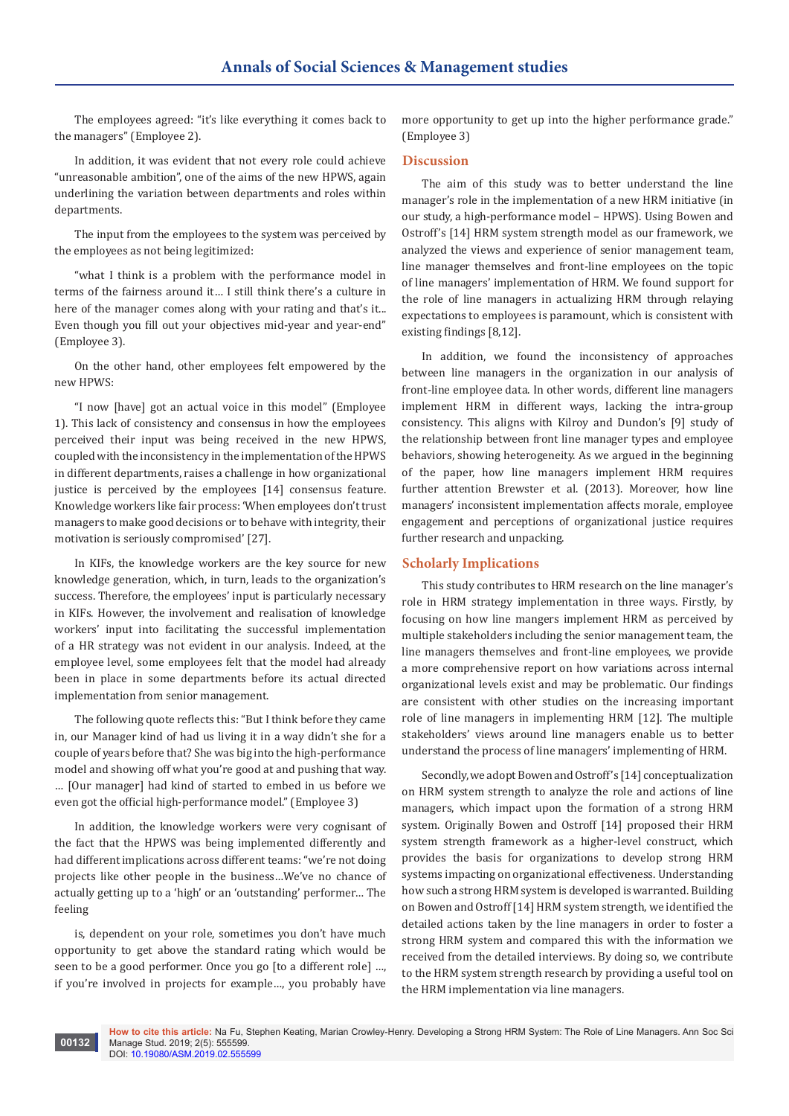The employees agreed: "it's like everything it comes back to the managers" (Employee 2).

In addition, it was evident that not every role could achieve "unreasonable ambition", one of the aims of the new HPWS, again underlining the variation between departments and roles within departments.

The input from the employees to the system was perceived by the employees as not being legitimized:

"what I think is a problem with the performance model in terms of the fairness around it… I still think there's a culture in here of the manager comes along with your rating and that's it... Even though you fill out your objectives mid-year and year-end" (Employee 3).

On the other hand, other employees felt empowered by the new HPWS:

"I now [have] got an actual voice in this model" (Employee 1). This lack of consistency and consensus in how the employees perceived their input was being received in the new HPWS, coupled with the inconsistency in the implementation of the HPWS in different departments, raises a challenge in how organizational justice is perceived by the employees [14] consensus feature. Knowledge workers like fair process: 'When employees don't trust managers to make good decisions or to behave with integrity, their motivation is seriously compromised' [27].

In KIFs, the knowledge workers are the key source for new knowledge generation, which, in turn, leads to the organization's success. Therefore, the employees' input is particularly necessary in KIFs. However, the involvement and realisation of knowledge workers' input into facilitating the successful implementation of a HR strategy was not evident in our analysis. Indeed, at the employee level, some employees felt that the model had already been in place in some departments before its actual directed implementation from senior management.

The following quote reflects this: "But I think before they came in, our Manager kind of had us living it in a way didn't she for a couple of years before that? She was big into the high-performance model and showing off what you're good at and pushing that way. … [Our manager] had kind of started to embed in us before we even got the official high-performance model." (Employee 3)

In addition, the knowledge workers were very cognisant of the fact that the HPWS was being implemented differently and had different implications across different teams: "we're not doing projects like other people in the business…We've no chance of actually getting up to a 'high' or an 'outstanding' performer… The feeling

is, dependent on your role, sometimes you don't have much opportunity to get above the standard rating which would be seen to be a good performer. Once you go [to a different role] …, if you're involved in projects for example…, you probably have

more opportunity to get up into the higher performance grade." (Employee 3)

#### **Discussion**

The aim of this study was to better understand the line manager's role in the implementation of a new HRM initiative (in our study, a high-performance model – HPWS). Using Bowen and Ostroff's [14] HRM system strength model as our framework, we analyzed the views and experience of senior management team, line manager themselves and front-line employees on the topic of line managers' implementation of HRM. We found support for the role of line managers in actualizing HRM through relaying expectations to employees is paramount, which is consistent with existing findings [8,12].

In addition, we found the inconsistency of approaches between line managers in the organization in our analysis of front-line employee data. In other words, different line managers implement HRM in different ways, lacking the intra-group consistency. This aligns with Kilroy and Dundon's [9] study of the relationship between front line manager types and employee behaviors, showing heterogeneity. As we argued in the beginning of the paper, how line managers implement HRM requires further attention Brewster et al. (2013). Moreover, how line managers' inconsistent implementation affects morale, employee engagement and perceptions of organizational justice requires further research and unpacking.

#### **Scholarly Implications**

This study contributes to HRM research on the line manager's role in HRM strategy implementation in three ways. Firstly, by focusing on how line mangers implement HRM as perceived by multiple stakeholders including the senior management team, the line managers themselves and front-line employees, we provide a more comprehensive report on how variations across internal organizational levels exist and may be problematic. Our findings are consistent with other studies on the increasing important role of line managers in implementing HRM [12]. The multiple stakeholders' views around line managers enable us to better understand the process of line managers' implementing of HRM.

Secondly, we adopt Bowen and Ostroff's [14] conceptualization on HRM system strength to analyze the role and actions of line managers, which impact upon the formation of a strong HRM system. Originally Bowen and Ostroff [14] proposed their HRM system strength framework as a higher-level construct, which provides the basis for organizations to develop strong HRM systems impacting on organizational effectiveness. Understanding how such a strong HRM system is developed is warranted. Building on Bowen and Ostroff [14] HRM system strength, we identified the detailed actions taken by the line managers in order to foster a strong HRM system and compared this with the information we received from the detailed interviews. By doing so, we contribute to the HRM system strength research by providing a useful tool on the HRM implementation via line managers.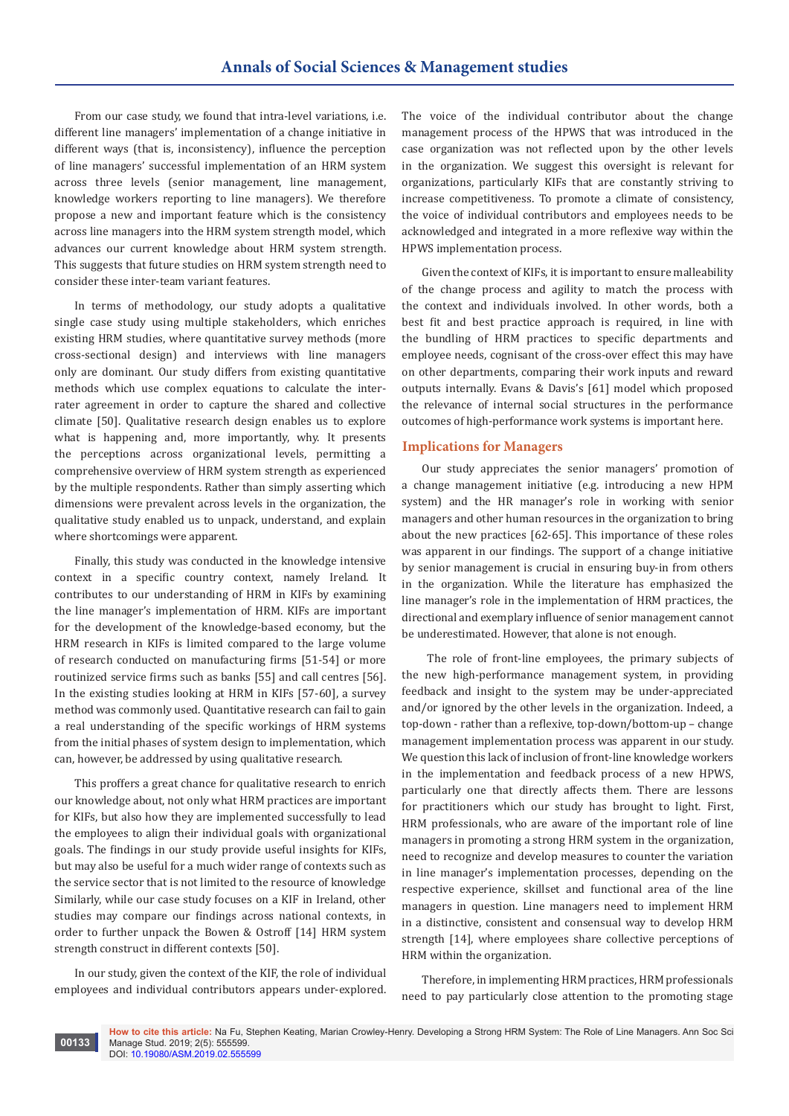From our case study, we found that intra-level variations, i.e. different line managers' implementation of a change initiative in different ways (that is, inconsistency), influence the perception of line managers' successful implementation of an HRM system across three levels (senior management, line management, knowledge workers reporting to line managers). We therefore propose a new and important feature which is the consistency across line managers into the HRM system strength model, which advances our current knowledge about HRM system strength. This suggests that future studies on HRM system strength need to consider these inter-team variant features.

In terms of methodology, our study adopts a qualitative single case study using multiple stakeholders, which enriches existing HRM studies, where quantitative survey methods (more cross-sectional design) and interviews with line managers only are dominant. Our study differs from existing quantitative methods which use complex equations to calculate the interrater agreement in order to capture the shared and collective climate [50]. Qualitative research design enables us to explore what is happening and, more importantly, why. It presents the perceptions across organizational levels, permitting a comprehensive overview of HRM system strength as experienced by the multiple respondents. Rather than simply asserting which dimensions were prevalent across levels in the organization, the qualitative study enabled us to unpack, understand, and explain where shortcomings were apparent.

Finally, this study was conducted in the knowledge intensive context in a specific country context, namely Ireland. It contributes to our understanding of HRM in KIFs by examining the line manager's implementation of HRM. KIFs are important for the development of the knowledge-based economy, but the HRM research in KIFs is limited compared to the large volume of research conducted on manufacturing firms [51-54] or more routinized service firms such as banks [55] and call centres [56]. In the existing studies looking at HRM in KIFs [57-60], a survey method was commonly used. Quantitative research can fail to gain a real understanding of the specific workings of HRM systems from the initial phases of system design to implementation, which can, however, be addressed by using qualitative research.

This proffers a great chance for qualitative research to enrich our knowledge about, not only what HRM practices are important for KIFs, but also how they are implemented successfully to lead the employees to align their individual goals with organizational goals. The findings in our study provide useful insights for KIFs, but may also be useful for a much wider range of contexts such as the service sector that is not limited to the resource of knowledge Similarly, while our case study focuses on a KIF in Ireland, other studies may compare our findings across national contexts, in order to further unpack the Bowen & Ostroff [14] HRM system strength construct in different contexts [50].

In our study, given the context of the KIF, the role of individual employees and individual contributors appears under-explored. The voice of the individual contributor about the change management process of the HPWS that was introduced in the case organization was not reflected upon by the other levels in the organization. We suggest this oversight is relevant for organizations, particularly KIFs that are constantly striving to increase competitiveness. To promote a climate of consistency, the voice of individual contributors and employees needs to be acknowledged and integrated in a more reflexive way within the HPWS implementation process.

Given the context of KIFs, it is important to ensure malleability of the change process and agility to match the process with the context and individuals involved. In other words, both a best fit and best practice approach is required, in line with the bundling of HRM practices to specific departments and employee needs, cognisant of the cross-over effect this may have on other departments, comparing their work inputs and reward outputs internally. Evans & Davis's [61] model which proposed the relevance of internal social structures in the performance outcomes of high-performance work systems is important here.

# **Implications for Managers**

Our study appreciates the senior managers' promotion of a change management initiative (e.g. introducing a new HPM system) and the HR manager's role in working with senior managers and other human resources in the organization to bring about the new practices [62-65]. This importance of these roles was apparent in our findings. The support of a change initiative by senior management is crucial in ensuring buy-in from others in the organization. While the literature has emphasized the line manager's role in the implementation of HRM practices, the directional and exemplary influence of senior management cannot be underestimated. However, that alone is not enough.

 The role of front-line employees, the primary subjects of the new high-performance management system, in providing feedback and insight to the system may be under-appreciated and/or ignored by the other levels in the organization. Indeed, a top-down - rather than a reflexive, top-down/bottom-up – change management implementation process was apparent in our study. We question this lack of inclusion of front-line knowledge workers in the implementation and feedback process of a new HPWS, particularly one that directly affects them. There are lessons for practitioners which our study has brought to light. First, HRM professionals, who are aware of the important role of line managers in promoting a strong HRM system in the organization, need to recognize and develop measures to counter the variation in line manager's implementation processes, depending on the respective experience, skillset and functional area of the line managers in question. Line managers need to implement HRM in a distinctive, consistent and consensual way to develop HRM strength [14], where employees share collective perceptions of HRM within the organization.

Therefore, in implementing HRM practices, HRM professionals need to pay particularly close attention to the promoting stage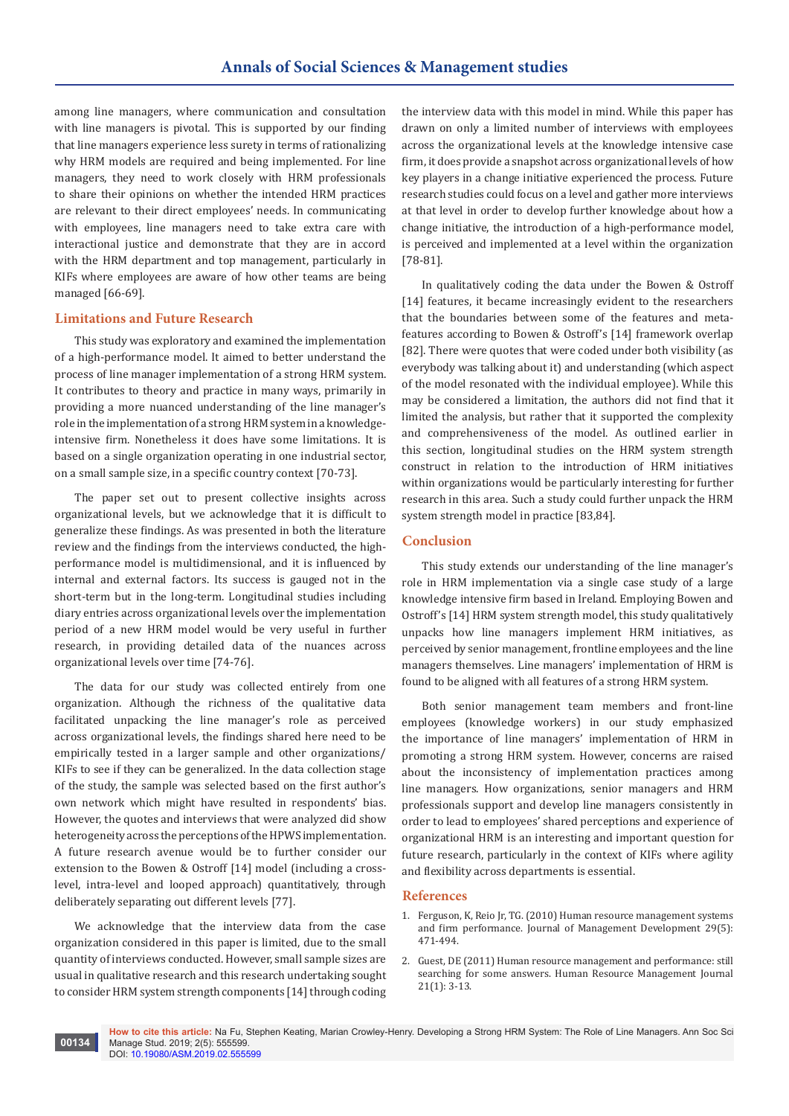among line managers, where communication and consultation with line managers is pivotal. This is supported by our finding that line managers experience less surety in terms of rationalizing why HRM models are required and being implemented. For line managers, they need to work closely with HRM professionals to share their opinions on whether the intended HRM practices are relevant to their direct employees' needs. In communicating with employees, line managers need to take extra care with interactional justice and demonstrate that they are in accord with the HRM department and top management, particularly in KIFs where employees are aware of how other teams are being managed [66-69].

# **Limitations and Future Research**

This study was exploratory and examined the implementation of a high-performance model. It aimed to better understand the process of line manager implementation of a strong HRM system. It contributes to theory and practice in many ways, primarily in providing a more nuanced understanding of the line manager's role in the implementation of a strong HRM system in a knowledgeintensive firm. Nonetheless it does have some limitations. It is based on a single organization operating in one industrial sector, on a small sample size, in a specific country context [70-73].

The paper set out to present collective insights across organizational levels, but we acknowledge that it is difficult to generalize these findings. As was presented in both the literature review and the findings from the interviews conducted, the highperformance model is multidimensional, and it is influenced by internal and external factors. Its success is gauged not in the short-term but in the long-term. Longitudinal studies including diary entries across organizational levels over the implementation period of a new HRM model would be very useful in further research, in providing detailed data of the nuances across organizational levels over time [74-76].

The data for our study was collected entirely from one organization. Although the richness of the qualitative data facilitated unpacking the line manager's role as perceived across organizational levels, the findings shared here need to be empirically tested in a larger sample and other organizations/ KIFs to see if they can be generalized. In the data collection stage of the study, the sample was selected based on the first author's own network which might have resulted in respondents' bias. However, the quotes and interviews that were analyzed did show heterogeneity across the perceptions of the HPWS implementation. A future research avenue would be to further consider our extension to the Bowen & Ostroff [14] model (including a crosslevel, intra-level and looped approach) quantitatively, through deliberately separating out different levels [77].

We acknowledge that the interview data from the case organization considered in this paper is limited, due to the small quantity of interviews conducted. However, small sample sizes are usual in qualitative research and this research undertaking sought to consider HRM system strength components [14] through coding the interview data with this model in mind. While this paper has drawn on only a limited number of interviews with employees across the organizational levels at the knowledge intensive case firm, it does provide a snapshot across organizational levels of how key players in a change initiative experienced the process. Future research studies could focus on a level and gather more interviews at that level in order to develop further knowledge about how a change initiative, the introduction of a high-performance model, is perceived and implemented at a level within the organization [78-81].

In qualitatively coding the data under the Bowen & Ostroff [14] features, it became increasingly evident to the researchers that the boundaries between some of the features and metafeatures according to Bowen & Ostroff's [14] framework overlap [82]. There were quotes that were coded under both visibility (as everybody was talking about it) and understanding (which aspect of the model resonated with the individual employee). While this may be considered a limitation, the authors did not find that it limited the analysis, but rather that it supported the complexity and comprehensiveness of the model. As outlined earlier in this section, longitudinal studies on the HRM system strength construct in relation to the introduction of HRM initiatives within organizations would be particularly interesting for further research in this area. Such a study could further unpack the HRM system strength model in practice [83,84].

# **Conclusion**

This study extends our understanding of the line manager's role in HRM implementation via a single case study of a large knowledge intensive firm based in Ireland. Employing Bowen and Ostroff's [14] HRM system strength model, this study qualitatively unpacks how line managers implement HRM initiatives, as perceived by senior management, frontline employees and the line managers themselves. Line managers' implementation of HRM is found to be aligned with all features of a strong HRM system.

Both senior management team members and front-line employees (knowledge workers) in our study emphasized the importance of line managers' implementation of HRM in promoting a strong HRM system. However, concerns are raised about the inconsistency of implementation practices among line managers. How organizations, senior managers and HRM professionals support and develop line managers consistently in order to lead to employees' shared perceptions and experience of organizational HRM is an interesting and important question for future research, particularly in the context of KIFs where agility and flexibility across departments is essential.

#### **References**

- 1. [Ferguson, K, Reio Jr, TG. \(2010\) Human resource management systems](https://www.emeraldinsight.com/doi/abs/10.1108/02621711011039231)  [and firm performance. Journal of Management Development 29\(5\):](https://www.emeraldinsight.com/doi/abs/10.1108/02621711011039231)  [471-494.](https://www.emeraldinsight.com/doi/abs/10.1108/02621711011039231)
- 2. [Guest, DE \(2011\) Human resource management and performance: still](https://onlinelibrary.wiley.com/doi/abs/10.1111/j.1748-8583.2010.00164.x)  [searching for some answers. Human Resource Management Journal](https://onlinelibrary.wiley.com/doi/abs/10.1111/j.1748-8583.2010.00164.x)  [21\(1\): 3-13.](https://onlinelibrary.wiley.com/doi/abs/10.1111/j.1748-8583.2010.00164.x)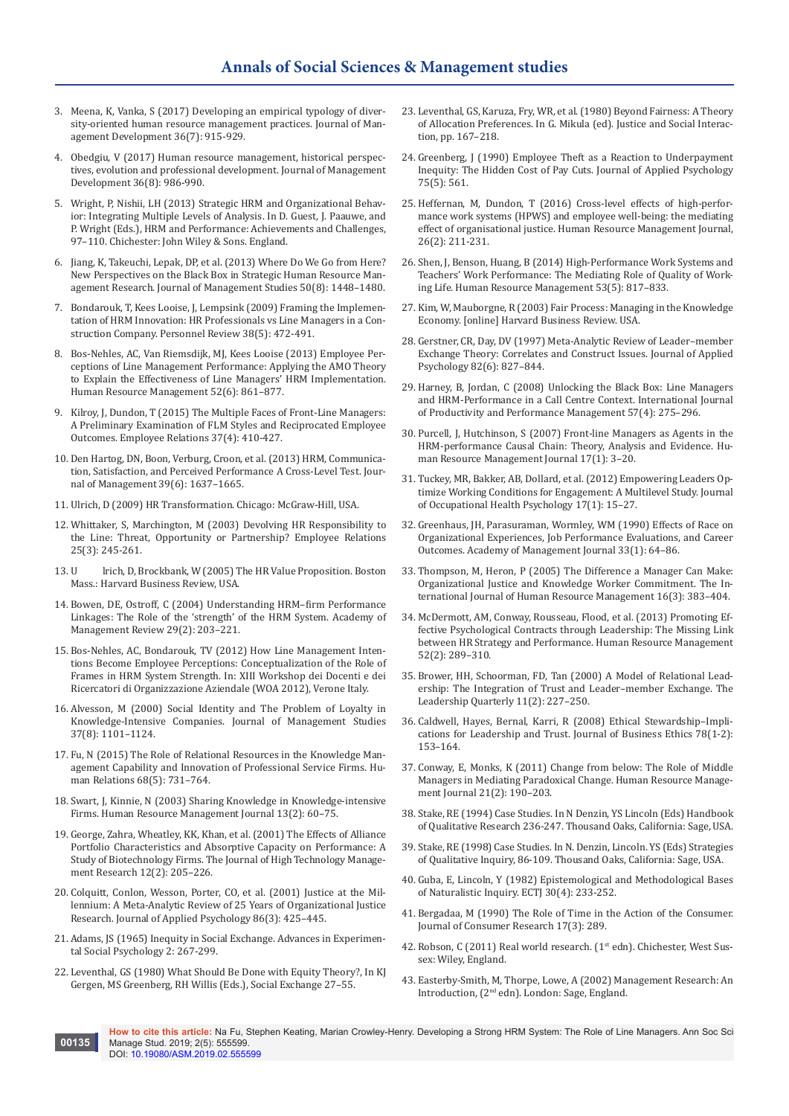- 3. [Meena, K, Vanka, S \(2017\) Developing an empirical typology of diver](https://www.emeraldinsight.com/doi/abs/10.1108/JMD-02-2016-0031)[sity-oriented human resource management practices. Journal of Man](https://www.emeraldinsight.com/doi/abs/10.1108/JMD-02-2016-0031)[agement Development 36\(7\): 915-929.](https://www.emeraldinsight.com/doi/abs/10.1108/JMD-02-2016-0031)
- 4. [Obedgiu, V \(2017\) Human resource management, historical perspec](https://www.emeraldinsight.com/doi/abs/10.1108/JMD-12-2016-0267)[tives, evolution and professional development. Journal of Management](https://www.emeraldinsight.com/doi/abs/10.1108/JMD-12-2016-0267)  [Development 36\(8\): 986-990.](https://www.emeraldinsight.com/doi/abs/10.1108/JMD-12-2016-0267)
- 5. Wright, P, Nishii, LH (2013) Strategic HRM and Organizational Behavior: Integrating Multiple Levels of Analysis. In D. Guest, J. Paauwe, and P. Wright (Eds.), HRM and Performance: Achievements and Challenges, 97–110. Chichester: John Wiley & Sons. England.
- 6. [Jiang, K, Takeuchi, Lepak, DP, et al. \(2013\) Where Do We Go from Here?](http://repository.ust.hk/ir/Record/1783.1-59710)  [New Perspectives on the Black Box in Strategic Human Resource Man](http://repository.ust.hk/ir/Record/1783.1-59710)[agement Research. Journal of Management Studies 50\(8\): 1448–1480.](http://repository.ust.hk/ir/Record/1783.1-59710)
- 7. [Bondarouk, T, Kees Looise, J, Lempsink \(2009\) Framing the Implemen](https://www.emeraldinsight.com/doi/abs/10.1108/00483480910978009)[tation of HRM Innovation: HR Professionals vs Line Managers in a Con](https://www.emeraldinsight.com/doi/abs/10.1108/00483480910978009)[struction Company. Personnel Review 38\(5\): 472-491.](https://www.emeraldinsight.com/doi/abs/10.1108/00483480910978009)
- 8. [Bos-Nehles, AC, Van Riemsdijk, MJ, Kees Looise \(2013\) Employee Per](https://onlinelibrary.wiley.com/doi/abs/10.1002/hrm.21578)[ceptions of Line Management Performance: Applying the AMO Theory](https://onlinelibrary.wiley.com/doi/abs/10.1002/hrm.21578)  [to Explain the Effectiveness of Line Managers' HRM Implementation.](https://onlinelibrary.wiley.com/doi/abs/10.1002/hrm.21578)  [Human Resource Management 52\(6\): 861–877.](https://onlinelibrary.wiley.com/doi/abs/10.1002/hrm.21578)
- 9. [Kilroy, J, Dundon, T \(2015\) The Multiple Faces of Front-Line Managers:](https://www.emeraldinsight.com/doi/abs/10.1108/ER-06-2014-0071)  [A Preliminary Examination of FLM Styles and Reciprocated Employee](https://www.emeraldinsight.com/doi/abs/10.1108/ER-06-2014-0071)  [Outcomes. Employee Relations 37\(4\): 410-427.](https://www.emeraldinsight.com/doi/abs/10.1108/ER-06-2014-0071)
- 10. [Den Hartog, DN, Boon, Verburg, Croon, et al. \(2013\) HRM, Communica](https://journals.sagepub.com/doi/pdf/10.1177/0149206312440118)[tion, Satisfaction, and Perceived Performance A Cross-Level Test. Jour](https://journals.sagepub.com/doi/pdf/10.1177/0149206312440118)[nal of Management 39\(6\): 1637–1665.](https://journals.sagepub.com/doi/pdf/10.1177/0149206312440118)
- 11. Ulrich, D (2009) HR Transformation. Chicago: McGraw-Hill, USA.
- 12. [Whittaker, S, Marchington, M \(2003\) Devolving HR Responsibility to](https://www.emeraldinsight.com/doi/abs/10.1108/01425450310475847)  [the Line: Threat, Opportunity or Partnership? Employee Relations](https://www.emeraldinsight.com/doi/abs/10.1108/01425450310475847)  [25\(3\): 245-261.](https://www.emeraldinsight.com/doi/abs/10.1108/01425450310475847)
- 13. U lrich, D, Brockbank, W (2005) The HR Value Proposition. Boston Mass.: Harvard Business Review, USA.
- 14. Bowen, DE, Ostroff, C (2004) Understanding HRM–firm Performance Linkages: The Role of the 'strength' of the HRM System. Academy of Management Review 29(2): 203–221.
- 15. [Bos-Nehles, AC, Bondarouk, TV \(2012\) How Line Management Inten](https://epdoc.utsp.utwente.nl/83712/)[tions Become Employee Perceptions: Conceptualization of the Role of](https://epdoc.utsp.utwente.nl/83712/)  [Frames in HRM System Strength. In: XIII Workshop dei Docenti e dei](https://epdoc.utsp.utwente.nl/83712/)  [Ricercatori di Organizzazione Aziendale \(WOA 2012\), Verone Italy.](https://epdoc.utsp.utwente.nl/83712/)
- 16. [Alvesson, M \(2000\) Social Identity and The Problem of Loyalty in](https://onlinelibrary.wiley.com/doi/abs/10.1111/1467-6486.00218)  [Knowledge-Intensive Companies. Journal of Management Studies](https://onlinelibrary.wiley.com/doi/abs/10.1111/1467-6486.00218)  [37\(8\): 1101–1124.](https://onlinelibrary.wiley.com/doi/abs/10.1111/1467-6486.00218)
- 17. [Fu, N \(2015\) The Role of Relational Resources in the Knowledge Man](https://journals.sagepub.com/doi/abs/10.1177/0018726714543479)[agement Capability and Innovation of Professional Service Firms. Hu](https://journals.sagepub.com/doi/abs/10.1177/0018726714543479)[man Relations 68\(5\): 731–764.](https://journals.sagepub.com/doi/abs/10.1177/0018726714543479)
- 18. [Swart, J, Kinnie, N \(2003\) Sharing Knowledge in Knowledge-intensive](https://onlinelibrary.wiley.com/doi/abs/10.1111/j.1748-8583.2003.tb00091.x)  [Firms. Human Resource Management Journal 13\(2\): 60–75.](https://onlinelibrary.wiley.com/doi/abs/10.1111/j.1748-8583.2003.tb00091.x)
- 19. [George, Zahra, Wheatley, KK, Khan, et al. \(2001\) The Effects of Alliance](https://www.sciencedirect.com/science/article/pii/S1047831001000372)  [Portfolio Characteristics and Absorptive Capacity on Performance: A](https://www.sciencedirect.com/science/article/pii/S1047831001000372)  [Study of Biotechnology Firms. The Journal of High Technology Manage](https://www.sciencedirect.com/science/article/pii/S1047831001000372)[ment Research 12\(2\): 205–226.](https://www.sciencedirect.com/science/article/pii/S1047831001000372)
- 20. [Colquitt, Conlon, Wesson, Porter, CO, et al. \(2001\) Justice at the Mil](https://www.ncbi.nlm.nih.gov/pubmed/11419803)[lennium: A Meta-Analytic Review of 25 Years of Organizational Justice](https://www.ncbi.nlm.nih.gov/pubmed/11419803)  [Research. Journal of Applied Psychology 86\(3\): 425–445.](https://www.ncbi.nlm.nih.gov/pubmed/11419803)
- 21. [Adams, JS \(1965\) Inequity in Social Exchange. Advances in Experimen](https://www.sciencedirect.com/science/article/pii/S0065260108601082)[tal Social Psychology 2: 267-299.](https://www.sciencedirect.com/science/article/pii/S0065260108601082)
- 22. [Leventhal, GS \(1980\) What Should Be Done with Equity Theory?, In KJ](https://link.springer.com/chapter/10.1007/978-1-4613-3087-5_2)  [Gergen, MS Greenberg, RH Willis \(Eds.\), Social Exchange 27–55.](https://link.springer.com/chapter/10.1007/978-1-4613-3087-5_2)
- 23. [Leventhal, GS, Karuza, Fry, WR, et al. \(1980\) Beyond Fairness: A Theory](https://www.scienceopen.com/document?vid=5a6ffa4c-e524-44d7-a621-81cd64ad255c)  [of Allocation Preferences. In G. Mikula \(ed\). Justice and Social Interac](https://www.scienceopen.com/document?vid=5a6ffa4c-e524-44d7-a621-81cd64ad255c)[tion, pp. 167–218.](https://www.scienceopen.com/document?vid=5a6ffa4c-e524-44d7-a621-81cd64ad255c)
- 24. [Greenberg, J \(1990\) Employee Theft as a Reaction to Underpayment](https://psycnet.apa.org/record/1991-07467-001)  [Inequity: The Hidden Cost of Pay Cuts. Journal of Applied Psychology](https://psycnet.apa.org/record/1991-07467-001)  [75\(5\): 561.](https://psycnet.apa.org/record/1991-07467-001)
- 25. [Heffernan, M, Dundon, T \(2016\) Cross-level effects of high-perfor](https://onlinelibrary.wiley.com/doi/10.1111/1748-8583.12095)[mance work systems \(HPWS\) and employee well-being: the mediating](https://onlinelibrary.wiley.com/doi/10.1111/1748-8583.12095)  [effect of organisational justice. Human Resource Management Journal,](https://onlinelibrary.wiley.com/doi/10.1111/1748-8583.12095)  [26\(2\): 211-231.](https://onlinelibrary.wiley.com/doi/10.1111/1748-8583.12095)
- 26. [Shen, J, Benson, Huang, B \(2014\) High-Performance Work Systems and](https://onlinelibrary.wiley.com/doi/abs/10.1002/hrm.21614)  [Teachers' Work Performance: The Mediating Role of Quality of Work](https://onlinelibrary.wiley.com/doi/abs/10.1002/hrm.21614)[ing Life. Human Resource Management 53\(5\): 817–833.](https://onlinelibrary.wiley.com/doi/abs/10.1002/hrm.21614)
- 27. [Kim, W, Mauborgne, R \(2003\) Fair Process: Managing in the Knowledge](https://hbr.org/2003/01/fair-process-managing-in-the-knowledge-economy)  [Economy. \[online\] Harvard Business Review. USA.](https://hbr.org/2003/01/fair-process-managing-in-the-knowledge-economy)
- 28. Gerstner, CR, Day, DV (1997) Meta-Analytic Review of Leader–member Exchange Theory: Correlates and Construct Issues. Journal of Applied Psychology 82(6): 827–844.
- 29. [Harney, B, Jordan, C \(2008\) Unlocking the Black Box: Line Managers](https://www.emeraldinsight.com/doi/abs/10.1108/17410400810867508)  [and HRM-Performance in a Call Centre Context. International Journal](https://www.emeraldinsight.com/doi/abs/10.1108/17410400810867508)  [of Productivity and Performance Management 57\(4\): 275–296.](https://www.emeraldinsight.com/doi/abs/10.1108/17410400810867508)
- 30. [Purcell, J, Hutchinson, S \(2007\) Front-line Managers as Agents in the](https://onlinelibrary.wiley.com/doi/abs/10.1111/j.1748-8583.2007.00022.x)  [HRM-performance Causal Chain: Theory, Analysis and Evidence. Hu](https://onlinelibrary.wiley.com/doi/abs/10.1111/j.1748-8583.2007.00022.x)[man Resource Management Journal 17\(1\): 3–20.](https://onlinelibrary.wiley.com/doi/abs/10.1111/j.1748-8583.2007.00022.x)
- 31. [Tuckey, MR, Bakker, AB, Dollard, et al. \(2012\) Empowering Leaders Op](https://www.ncbi.nlm.nih.gov/pubmed/22409390)[timize Working Conditions for Engagement: A Multilevel Study. Journal](https://www.ncbi.nlm.nih.gov/pubmed/22409390)  [of Occupational Health Psychology 17\(1\): 15–27.](https://www.ncbi.nlm.nih.gov/pubmed/22409390)
- 32. Greenhaus, JH, Parasuraman, Wormley, WM (1990) Effects of Race on Organizational Experiences, Job Performance Evaluations, and Career Outcomes. Academy of Management Journal 33(1): 64–86.
- 33. [Thompson, M, Heron, P \(2005\) The Difference a Manager Can Make:](http://eureka.sbs.ox.ac.uk/1633/)  [Organizational Justice and Knowledge Worker Commitment. The In](http://eureka.sbs.ox.ac.uk/1633/)[ternational Journal of Human Resource Management 16\(3\): 383–404.](http://eureka.sbs.ox.ac.uk/1633/)
- 34. [McDermott, AM, Conway, Rousseau, Flood, et al. \(2013\) Promoting Ef](https://onlinelibrary.wiley.com/doi/abs/10.1002/hrm.21529)[fective Psychological Contracts through Leadership: The Missing Link](https://onlinelibrary.wiley.com/doi/abs/10.1002/hrm.21529)  [between HR Strategy and Performance. Human Resource Management](https://onlinelibrary.wiley.com/doi/abs/10.1002/hrm.21529)  [52\(2\): 289–310.](https://onlinelibrary.wiley.com/doi/abs/10.1002/hrm.21529)
- 35. [Brower, HH, Schoorman, FD, Tan \(2000\) A Model of Relational Lead](https://www.sciencedirect.com/science/article/pii/S1048984300000400)[ership: The Integration of Trust and Leader–member Exchange. The](https://www.sciencedirect.com/science/article/pii/S1048984300000400)  [Leadership Quarterly 11\(2\): 227–250.](https://www.sciencedirect.com/science/article/pii/S1048984300000400)
- 36. [Caldwell, Hayes, Bernal, Karri, R \(2008\) Ethical Stewardship–Impli](https://link.springer.com/article/10.1007/s10551-006-9320-1)[cations for Leadership and Trust. Journal of Business Ethics 78\(1-2\):](https://link.springer.com/article/10.1007/s10551-006-9320-1)  [153–164.](https://link.springer.com/article/10.1007/s10551-006-9320-1)
- 37. [Conway, E, Monks, K \(2011\) Change from below: The Role of Middle](https://onlinelibrary.wiley.com/doi/abs/10.1111/j.1748-8583.2010.00135.x)  [Managers in Mediating Paradoxical Change. Human Resource Manage](https://onlinelibrary.wiley.com/doi/abs/10.1111/j.1748-8583.2010.00135.x)[ment Journal 21\(2\): 190–203.](https://onlinelibrary.wiley.com/doi/abs/10.1111/j.1748-8583.2010.00135.x)
- 38. Stake, RE (1994) Case Studies. In N Denzin, YS Lincoln (Eds) Handbook of Qualitative Research 236-247. Thousand Oaks, California: Sage, USA.
- 39. Stake, RE (1998) Case Studies. In N. Denzin, Lincoln. YS (Eds) Strategies of Qualitative Inquiry, 86-109. Thousand Oaks, California: Sage, USA.
- 40. Guba, E, Lincoln, Y (1982) Epistemological and Methodological Bases of Naturalistic Inquiry. ECTJ 30(4): 233-252.
- 41. [Bergadaa, M \(1990\) The Role of Time in the Action of the Consumer.](https://academic.oup.com/jcr/article-abstract/17/3/289/1822542?redirectedFrom=fulltext)  [Journal of Consumer Research 17\(3\): 289.](https://academic.oup.com/jcr/article-abstract/17/3/289/1822542?redirectedFrom=fulltext)
- 42. Robson, C (2011) Real world research. (1st edn). Chichester, West Sussex: Wiley, England.
- 43. Easterby-Smith, M, Thorpe, Lowe, A (2002) Management Research: An Introduction, (2nd edn). London: Sage, England.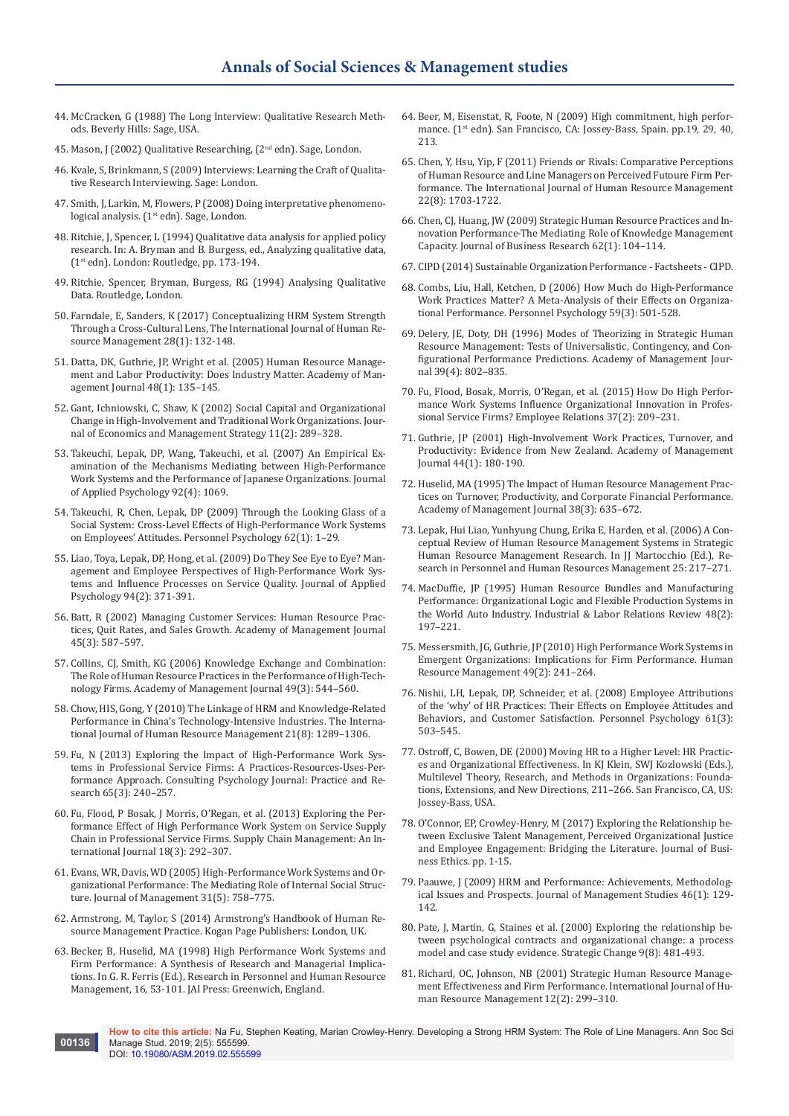- 44. [McCracken, G \(1988\) The Long Interview: Qualitative Research Meth](https://us.sagepub.com/en-us/nam/the-long-interview/book2627)[ods. Beverly Hills: Sage, USA.](https://us.sagepub.com/en-us/nam/the-long-interview/book2627)
- 45. [Mason, J \(2002\) Qualitative Researching, \(2](https://uk.sagepub.com/en-gb/eur/qualitative-researching/book244365)<sup>nd</sup> edn). Sage, London.
- 46. Kvale, S, Brinkmann, S (2009) Interviews: Learning the Craft of Qualitative Research Interviewing. Sage: London.
- 47. Smith, J, Larkin, M, Flowers, P (2008) Doing interpretative phenomenological analysis. (1<sup>st</sup> edn). Sage, London.
- 48. Ritchie, J, Spencer, L (1994) Qualitative data analysis for applied policy research. In: A. Bryman and B. Burgess, ed., Analyzing qualitative data, (1st edn). London: Routledge, pp. 173-194.
- 49. Ritchie, Spencer, Bryman, Burgess, RG (1994) Analysing Qualitative Data. Routledge, London.
- 50. Farndale, E, Sanders, K (2017) Conceptualizing HRM System Strength Through a Cross-Cultural Lens, The International Journal of Human Resource Management 28(1): 132-148.
- 51. [Datta, DK, Guthrie, JP, Wright et al. \(2005\) Human Resource Manage](https://journals.aom.org/doi/abs/10.5465/amj.2005.15993158?journalCode=amj)[ment and Labor Productivity: Does Industry Matter. Academy of Man](https://journals.aom.org/doi/abs/10.5465/amj.2005.15993158?journalCode=amj)[agement Journal 48\(1\): 135–145.](https://journals.aom.org/doi/abs/10.5465/amj.2005.15993158?journalCode=amj)
- 52. [Gant, Ichniowski, C, Shaw, K \(2002\) Social Capital and Organizational](https://www.gsb.stanford.edu/faculty-research/publications/social-capital-organizational-change-high-involvement-traditional-work)  [Change in High-Involvement and Traditional Work Organizations. Jour](https://www.gsb.stanford.edu/faculty-research/publications/social-capital-organizational-change-high-involvement-traditional-work)[nal of Economics and Management Strategy 11\(2\): 289–328.](https://www.gsb.stanford.edu/faculty-research/publications/social-capital-organizational-change-high-involvement-traditional-work)
- 53. [Takeuchi, Lepak, DP, Wang, Takeuchi, et al. \(2007\) An Empirical Ex](https://www.ncbi.nlm.nih.gov/pubmed/17638466)[amination of the Mechanisms Mediating between High-Performance](https://www.ncbi.nlm.nih.gov/pubmed/17638466)  [Work Systems and the Performance of Japanese Organizations. Journal](https://www.ncbi.nlm.nih.gov/pubmed/17638466)  [of Applied Psychology 92\(4\): 1069.](https://www.ncbi.nlm.nih.gov/pubmed/17638466)
- 54. [Takeuchi, R, Chen, Lepak, DP \(2009\) Through the Looking Glass of a](https://papers.ssrn.com/sol3/papers.cfm?abstract_id=1362242)  [Social System: Cross-Level Effects of High-Performance Work Systems](https://papers.ssrn.com/sol3/papers.cfm?abstract_id=1362242)  [on Employees' Attitudes. Personnel Psychology 62\(1\): 1–29.](https://papers.ssrn.com/sol3/papers.cfm?abstract_id=1362242)
- 55. [Liao, Toya, Lepak, DP, Hong, et al. \(2009\) Do They See Eye to Eye? Man](https://www.ncbi.nlm.nih.gov/pubmed/19271796)[agement and Employee Perspectives of High-Performance Work Sys](https://www.ncbi.nlm.nih.gov/pubmed/19271796)[tems and Influence Processes on Service Quality. Journal of Applied](https://www.ncbi.nlm.nih.gov/pubmed/19271796)  [Psychology 94\(2\): 371-391.](https://www.ncbi.nlm.nih.gov/pubmed/19271796)
- 56. [Batt, R \(2002\) Managing Customer Services: Human Resource Prac](https://www.jstor.org/stable/3069383)[tices, Quit Rates, and Sales Growth. Academy of Management Journal](https://www.jstor.org/stable/3069383)  [45\(3\): 587–597.](https://www.jstor.org/stable/3069383)
- 57. [Collins, CJ, Smith, KG \(2006\) Knowledge Exchange and Combination:](https://journals.aom.org/doi/full/10.5465/amj.2006.21794671)  [The Role of Human Resource Practices in the Performance of High-Tech](https://journals.aom.org/doi/full/10.5465/amj.2006.21794671)[nology Firms. Academy of Management Journal 49\(3\): 544–560.](https://journals.aom.org/doi/full/10.5465/amj.2006.21794671)
- 58. Chow, HIS, Gong, Y (2010) The Linkage of HRM and Knowledge-Related Performance in China's Technology-Intensive Industries. The International Journal of Human Resource Management 21(8): 1289–1306.
- 59. [Fu, N \(2013\) Exploring the Impact of High-Performance Work Sys](https://psycnet.apa.org/record/2013-35970-004)[tems in Professional Service Firms: A Practices-Resources-Uses-Per](https://psycnet.apa.org/record/2013-35970-004)[formance Approach. Consulting Psychology Journal: Practice and Re](https://psycnet.apa.org/record/2013-35970-004)[search 65\(3\): 240–257.](https://psycnet.apa.org/record/2013-35970-004)
- 60. [Fu, Flood, P Bosak, J Morris, O'Regan, et al. \(2013\) Exploring the Per](https://www.emeraldinsight.com/doi/abs/10.1108/SCM-04-2012-0118)[formance Effect of High Performance Work System on Service Supply](https://www.emeraldinsight.com/doi/abs/10.1108/SCM-04-2012-0118)  [Chain in Professional Service Firms. Supply Chain Management: An In](https://www.emeraldinsight.com/doi/abs/10.1108/SCM-04-2012-0118)[ternational Journal 18\(3\): 292–307.](https://www.emeraldinsight.com/doi/abs/10.1108/SCM-04-2012-0118)
- 61. [Evans, WR, Davis, WD \(2005\) High-Performance Work Systems and Or](https://journals.sagepub.com/doi/abs/10.1177/0149206305279370?journalCode=joma)[ganizational Performance: The Mediating Role of Internal Social Struc](https://journals.sagepub.com/doi/abs/10.1177/0149206305279370?journalCode=joma)[ture. Journal of Management 31\(5\): 758–775.](https://journals.sagepub.com/doi/abs/10.1177/0149206305279370?journalCode=joma)
- 62. Armstrong, M, Taylor, S (2014) Armstrong's Handbook of Human Resource Management Practice. Kogan Page Publishers: London, UK.
- 63. Becker, B, Huselid, MA (1998) High Performance Work Systems and Firm Performance: A Synthesis of Research and Managerial Implications. In G. R. Ferris (Ed.), Research in Personnel and Human Resource Management, 16, 53-101. JAI Press: Greenwich, England.
- 64. Beer, M, Eisenstat, R, Foote, N (2009) High commitment, high performance. (1st edn). San Francisco, CA: Jossey-Bass, Spain. pp.19, 29, 40, 213.
- 65. Chen, Y, Hsu, Yip, F (2011) Friends or Rivals: Comparative Perceptions of Human Resource and Line Managers on Perceived Futoure Firm Performance. The International Journal of Human Resource Management 22(8): 1703-1722.
- 66. [Chen, CJ, Huang, JW \(2009\) Strategic Human Resource Practices and In](https://www.sciencedirect.com/science/article/abs/pii/S0148296308000192)[novation Performance-The Mediating Role of Knowledge Management](https://www.sciencedirect.com/science/article/abs/pii/S0148296308000192)  [Capacity. Journal of Business Research 62\(1\): 104–114.](https://www.sciencedirect.com/science/article/abs/pii/S0148296308000192)
- 67. CIPD (2014) Sustainable Organization Performance Factsheets CIPD.
- 68. [Combs, Liu, Hall, Ketchen, D \(2006\) How Much do High-Performance](https://onlinelibrary.wiley.com/doi/full/10.1111/j.1744-6570.2006.00045.x)  [Work Practices Matter? A Meta-Analysis of their Effects on Organiza](https://onlinelibrary.wiley.com/doi/full/10.1111/j.1744-6570.2006.00045.x)[tional Performance. Personnel Psychology 59\(3\): 501-528.](https://onlinelibrary.wiley.com/doi/full/10.1111/j.1744-6570.2006.00045.x)
- 69. [Delery, JE, Doty, DH \(1996\) Modes of Theorizing in Strategic Human](https://journals.aom.org/doi/abs/10.5465/256713?journalCode=amj)  [Resource Management: Tests of Universalistic, Contingency, and Con](https://journals.aom.org/doi/abs/10.5465/256713?journalCode=amj)[figurational Performance Predictions. Academy of Management Jour](https://journals.aom.org/doi/abs/10.5465/256713?journalCode=amj)[nal 39\(4\): 802–835.](https://journals.aom.org/doi/abs/10.5465/256713?journalCode=amj)
- 70. [Fu, Flood, Bosak, Morris, O'Regan, et al. \(2015\) How Do High Perfor](https://www.emeraldinsight.com/doi/abs/10.1108/ER-10-2013-0155)[mance Work Systems Influence Organizational Innovation in Profes](https://www.emeraldinsight.com/doi/abs/10.1108/ER-10-2013-0155)[sional Service Firms? Employee Relations 37\(2\): 209–231.](https://www.emeraldinsight.com/doi/abs/10.1108/ER-10-2013-0155)
- 71. Guthrie, JP (2001) High-Involvement Work Practices, Turnover, and Productivity: Evidence from New Zealand. Academy of Management Journal 44(1): 180-190.
- 72. [Huselid, MA \(1995\) The Impact of Human Resource Management Prac](https://journals.aom.org/doi/10.5465/256741)[tices on Turnover, Productivity, and Corporate Financial Performance.](https://journals.aom.org/doi/10.5465/256741)  [Academy of Management Journal 38\(3\): 635–672.](https://journals.aom.org/doi/10.5465/256741)
- 73. [Lepak, Hui Liao, Yunhyung Chung, Erika E, Harden, et al. \(2006\) A Con](https://www.emeraldinsight.com/doi/abs/10.1016/S0742-7301%2806%2925006-0)[ceptual Review of Human Resource Management Systems in Strategic](https://www.emeraldinsight.com/doi/abs/10.1016/S0742-7301%2806%2925006-0)  [Human Resource Management Research. In JJ Martocchio \(Ed.\), Re](https://www.emeraldinsight.com/doi/abs/10.1016/S0742-7301%2806%2925006-0)[search in Personnel and Human Resources Management 25: 217–271.](https://www.emeraldinsight.com/doi/abs/10.1016/S0742-7301%2806%2925006-0)
- 74. MacDuffie, JP (1995) Human Resource Bundles and Manufacturing Performance: Organizational Logic and Flexible Production Systems in the World Auto Industry. Industrial & Labor Relations Review 48(2): 197–221.
- 75. [Messersmith, JG, Guthrie, JP \(2010\) High Performance Work Systems in](https://onlinelibrary.wiley.com/doi/pdf/10.1002/hrm.20342)  [Emergent Organizations: Implications for Firm Performance. Human](https://onlinelibrary.wiley.com/doi/pdf/10.1002/hrm.20342)  [Resource Management 49\(2\): 241–264.](https://onlinelibrary.wiley.com/doi/pdf/10.1002/hrm.20342)
- 76. [Nishii, LH, Lepak, DP, Schneider, et al. \(2008\) Employee Attributions](https://onlinelibrary.wiley.com/doi/abs/10.1111/j.1744-6570.2008.00121.x)  [of the 'why' of HR Practices: Their Effects on Employee Attitudes and](https://onlinelibrary.wiley.com/doi/abs/10.1111/j.1744-6570.2008.00121.x)  [Behaviors, and Customer Satisfaction. Personnel Psychology 61\(3\):](https://onlinelibrary.wiley.com/doi/abs/10.1111/j.1744-6570.2008.00121.x)  [503–545.](https://onlinelibrary.wiley.com/doi/abs/10.1111/j.1744-6570.2008.00121.x)
- 77. Ostroff, C, Bowen, DE (2000) Moving HR to a Higher Level: HR Practices and Organizational Effectiveness. In KJ Klein, SWJ Kozlowski (Eds.), Multilevel Theory, Research, and Methods in Organizations: Foundations, Extensions, and New Directions, 211–266. San Francisco, CA, US: Jossey-Bass, USA.
- 78. [O'Connor, EP, Crowley-Henry, M \(2017\) Exploring the Relationship be](https://link.springer.com/article/10.1007/s10551-017-3543-1)[tween Exclusive Talent Management, Perceived Organizational Justice](https://link.springer.com/article/10.1007/s10551-017-3543-1)  [and Employee Engagement: Bridging the Literature. Journal of Busi](https://link.springer.com/article/10.1007/s10551-017-3543-1)[ness Ethics. pp. 1-15.](https://link.springer.com/article/10.1007/s10551-017-3543-1)
- 79. [Paauwe, J \(2009\) HRM and Performance: Achievements, Methodolog](https://onlinelibrary.wiley.com/doi/full/10.1111/j.1467-6486.2008.00809.x)[ical Issues and Prospects. Journal of Management Studies 46\(1\): 129-](https://onlinelibrary.wiley.com/doi/full/10.1111/j.1467-6486.2008.00809.x) [142.](https://onlinelibrary.wiley.com/doi/full/10.1111/j.1467-6486.2008.00809.x)
- 80. [Pate, J, Martin, G, Staines et al. \(2000\) Exploring the relationship be](https://onlinelibrary.wiley.com/doi/abs/10.1002/1099-1697%28200012%299%3A8%3C481%3A%3AAID-JSC513%3E3.0.CO%3B2-G)[tween psychological contracts and organizational change: a process](https://onlinelibrary.wiley.com/doi/abs/10.1002/1099-1697%28200012%299%3A8%3C481%3A%3AAID-JSC513%3E3.0.CO%3B2-G)  [model and case study evidence. Strategic Change 9\(8\): 481-493.](https://onlinelibrary.wiley.com/doi/abs/10.1002/1099-1697%28200012%299%3A8%3C481%3A%3AAID-JSC513%3E3.0.CO%3B2-G)
- 81. Richard, OC, Johnson, NB (2001) Strategic Human Resource Management Effectiveness and Firm Performance. International Journal of Human Resource Management 12(2): 299–310.